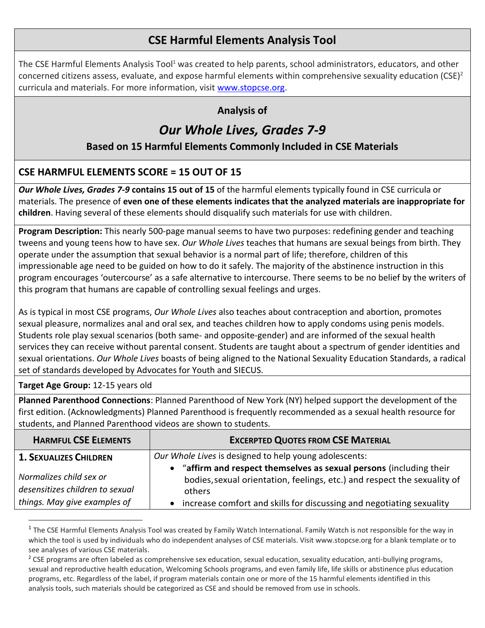## **CSE Harmful Elements Analysis Tool**

The CSE Harmful Elements Analysis Tool<sup>1</sup> was created to help parents, school administrators, educators, and other concerned citizens assess, evaluate, and expose harmful elements within comprehensive sexuality education (CSE)<sup>2</sup> curricula and materials. For more information, visit [www.stopcse.org.](http://www.stopcse.org/)

## **Analysis of**

# *Our Whole Lives, Grades 7-9*

## **Based on 15 Harmful Elements Commonly Included in CSE Materials**

## **CSE HARMFUL ELEMENTS SCORE = 15 OUT OF 15**

*Our Whole Lives, Grades 7-9* **contains 15 out of 15** of the harmful elements typically found in CSE curricula or materials. The presence of **even one of these elements indicates that the analyzed materials are inappropriate for children**. Having several of these elements should disqualify such materials for use with children.

**Program Description:** This nearly 500-page manual seems to have two purposes: redefining gender and teaching tweens and young teens how to have sex. *Our Whole Lives* teaches that humans are sexual beings from birth. They operate under the assumption that sexual behavior is a normal part of life; therefore, children of this impressionable age need to be guided on how to do it safely. The majority of the abstinence instruction in this program encourages 'outercourse' as a safe alternative to intercourse. There seems to be no belief by the writers of this program that humans are capable of controlling sexual feelings and urges.

As is typical in most CSE programs, *Our Whole Lives* also teaches about contraception and abortion, promotes sexual pleasure, normalizes anal and oral sex, and teaches children how to apply condoms using penis models. Students role play sexual scenarios (both same- and opposite-gender) and are informed of the sexual health services they can receive without parental consent. Students are taught about a spectrum of gender identities and sexual orientations. *Our Whole Lives* boasts of being aligned to the National Sexuality Education Standards, a radical set of standards developed by Advocates for Youth and SIECUS.

#### **Target Age Group:** 12-15 years old

**Planned Parenthood Connections**: Planned Parenthood of New York (NY) helped support the development of the first edition. (Acknowledgments) Planned Parenthood is frequently recommended as a sexual health resource for students, and Planned Parenthood videos are shown to students.

| <b>HARMFUL CSE ELEMENTS</b>                                                                | <b>EXCERPTED QUOTES FROM CSE MATERIAL</b>                                                                                                                                                                                         |
|--------------------------------------------------------------------------------------------|-----------------------------------------------------------------------------------------------------------------------------------------------------------------------------------------------------------------------------------|
| <b>1. SEXUALIZES CHILDREN</b>                                                              | Our Whole Lives is designed to help young adolescents:                                                                                                                                                                            |
| Normalizes child sex or<br>desensitizes children to sexual<br>things. May give examples of | • "affirm and respect themselves as sexual persons (including their<br>bodies, sexual orientation, feelings, etc.) and respect the sexuality of<br>others<br>increase comfort and skills for discussing and negotiating sexuality |

<sup>&</sup>lt;sup>1</sup> The CSE Harmful Elements Analysis Tool was created by Family Watch International. Family Watch is not responsible for the way in which the tool is used by individuals who do independent analyses of CSE materials. Visi[t www.stopcse.org](http://www.stopcse.org/) for a blank template or to see analyses of various CSE materials.

<sup>&</sup>lt;sup>2</sup> CSE programs are often labeled as comprehensive sex education, sexual education, sexuality education, anti-bullying programs, sexual and reproductive health education, Welcoming Schools programs, and even family life, life skills or abstinence plus education programs, etc. Regardless of the label, if program materials contain one or more of the 15 harmful elements identified in this analysis tools, such materials should be categorized as CSE and should be removed from use in schools.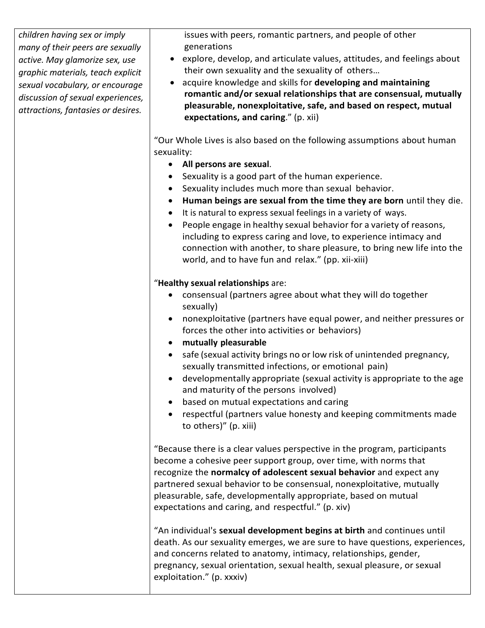*children having sex or imply many of their peers are sexually active. May glamorize sex, use graphic materials, teach explicit sexual vocabulary, or encourage discussion of sexual experiences, attractions, fantasies or desires.*

issues with peers, romantic partners, and people of other generations

- explore, develop, and articulate values, attitudes, and feelings about their own sexuality and the sexuality of others…
- acquire knowledge and skills for **developing and maintaining romantic and/or sexual relationships that are consensual, mutually pleasurable, nonexploitative, safe, and based on respect, mutual expectations, and caring**." (p. xii)

"Our Whole Lives is also based on the following assumptions about human sexuality:

- **All persons are sexual**.
- Sexuality is a good part of the human experience.
- Sexuality includes much more than sexual behavior.
- **Human beings are sexual from the time they are born** until they die.
- It is natural to express sexual feelings in a variety of ways.
- People engage in healthy sexual behavior for a variety of reasons, including to express caring and love, to experience intimacy and connection with another, to share pleasure, to bring new life into the world, and to have fun and relax." (pp. xii-xiii)

#### "**Healthy sexual relationships** are:

- consensual (partners agree about what they will do together sexually)
- nonexploitative (partners have equal power, and neither pressures or forces the other into activities or behaviors)
- **mutually pleasurable**
- safe (sexual activity brings no or low risk of unintended pregnancy, sexually transmitted infections, or emotional pain)
- developmentally appropriate (sexual activity is appropriate to the age and maturity of the persons involved)
- based on mutual expectations and caring
- respectful (partners value honesty and keeping commitments made to others)" (p. xiii)

"Because there is a clear values perspective in the program, participants become a cohesive peer support group, over time, with norms that recognize the **normalcy of adolescent sexual behavior** and expect any partnered sexual behavior to be consensual, nonexploitative, mutually pleasurable, safe, developmentally appropriate, based on mutual expectations and caring, and respectful." (p. xiv)

"An individual's **sexual development begins at birth** and continues until death. As our sexuality emerges, we are sure to have questions, experiences, and concerns related to anatomy, intimacy, relationships, gender, pregnancy, sexual orientation, sexual health, sexual pleasure, or sexual exploitation." (p. xxxiv)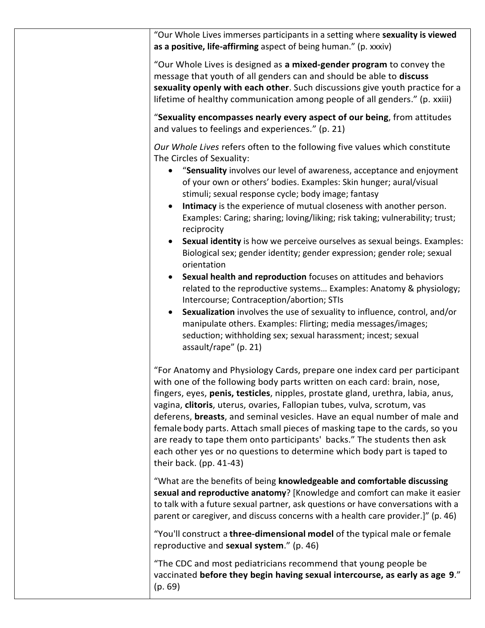| "Our Whole Lives immerses participants in a setting where sexuality is viewed<br>as a positive, life-affirming aspect of being human." (p. xxxiv)                                                                                                                                                                                                                                                                                                                                                                                                                                                                                                                                                                                                                                                                                                                                                                                                                                                                                                                                                                                              |
|------------------------------------------------------------------------------------------------------------------------------------------------------------------------------------------------------------------------------------------------------------------------------------------------------------------------------------------------------------------------------------------------------------------------------------------------------------------------------------------------------------------------------------------------------------------------------------------------------------------------------------------------------------------------------------------------------------------------------------------------------------------------------------------------------------------------------------------------------------------------------------------------------------------------------------------------------------------------------------------------------------------------------------------------------------------------------------------------------------------------------------------------|
| "Our Whole Lives is designed as a mixed-gender program to convey the<br>message that youth of all genders can and should be able to discuss<br>sexuality openly with each other. Such discussions give youth practice for a<br>lifetime of healthy communication among people of all genders." (p. xxiii)                                                                                                                                                                                                                                                                                                                                                                                                                                                                                                                                                                                                                                                                                                                                                                                                                                      |
| "Sexuality encompasses nearly every aspect of our being, from attitudes<br>and values to feelings and experiences." (p. 21)                                                                                                                                                                                                                                                                                                                                                                                                                                                                                                                                                                                                                                                                                                                                                                                                                                                                                                                                                                                                                    |
| Our Whole Lives refers often to the following five values which constitute<br>The Circles of Sexuality:<br>"Sensuality involves our level of awareness, acceptance and enjoyment<br>of your own or others' bodies. Examples: Skin hunger; aural/visual<br>stimuli; sexual response cycle; body image; fantasy<br>Intimacy is the experience of mutual closeness with another person.<br>$\bullet$<br>Examples: Caring; sharing; loving/liking; risk taking; vulnerability; trust;<br>reciprocity<br>Sexual identity is how we perceive ourselves as sexual beings. Examples:<br>$\bullet$<br>Biological sex; gender identity; gender expression; gender role; sexual<br>orientation<br>Sexual health and reproduction focuses on attitudes and behaviors<br>$\bullet$<br>related to the reproductive systems Examples: Anatomy & physiology;<br>Intercourse; Contraception/abortion; STIs<br>Sexualization involves the use of sexuality to influence, control, and/or<br>$\bullet$<br>manipulate others. Examples: Flirting; media messages/images;<br>seduction; withholding sex; sexual harassment; incest; sexual<br>assault/rape" (p. 21) |
| "For Anatomy and Physiology Cards, prepare one index card per participant<br>with one of the following body parts written on each card: brain, nose<br>fingers, eyes, penis, testicles, nipples, prostate gland, urethra, labia, anus,<br>vagina, clitoris, uterus, ovaries, Fallopian tubes, vulva, scrotum, vas<br>deferens, breasts, and seminal vesicles. Have an equal number of male and<br>female body parts. Attach small pieces of masking tape to the cards, so you<br>are ready to tape them onto participants' backs." The students then ask<br>each other yes or no questions to determine which body part is taped to<br>their back. (pp. 41-43)                                                                                                                                                                                                                                                                                                                                                                                                                                                                                 |
| "What are the benefits of being knowledgeable and comfortable discussing<br>sexual and reproductive anatomy? [Knowledge and comfort can make it easier<br>to talk with a future sexual partner, ask questions or have conversations with a<br>parent or caregiver, and discuss concerns with a health care provider.]" (p. 46)                                                                                                                                                                                                                                                                                                                                                                                                                                                                                                                                                                                                                                                                                                                                                                                                                 |
| "You'll construct a three-dimensional model of the typical male or female<br>reproductive and sexual system." (p. 46)                                                                                                                                                                                                                                                                                                                                                                                                                                                                                                                                                                                                                                                                                                                                                                                                                                                                                                                                                                                                                          |
| "The CDC and most pediatricians recommend that young people be<br>vaccinated before they begin having sexual intercourse, as early as age 9."<br>(p. 69)                                                                                                                                                                                                                                                                                                                                                                                                                                                                                                                                                                                                                                                                                                                                                                                                                                                                                                                                                                                       |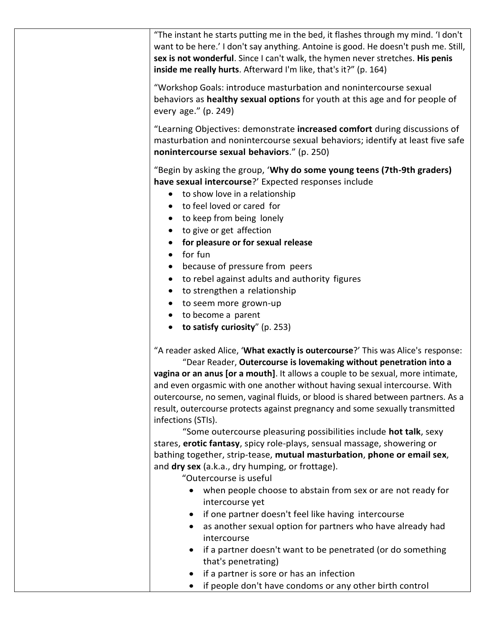| "The instant he starts putting me in the bed, it flashes through my mind. 'I don't<br>want to be here.' I don't say anything. Antoine is good. He doesn't push me. Still,<br>sex is not wonderful. Since I can't walk, the hymen never stretches. His penis<br>inside me really hurts. Afterward I'm like, that's it?" (p. 164)                                                                                                                                                                                                                                                                                                                                                                                                                                                                                                                                                                                                                                                                                                                                                                                                                                                           |
|-------------------------------------------------------------------------------------------------------------------------------------------------------------------------------------------------------------------------------------------------------------------------------------------------------------------------------------------------------------------------------------------------------------------------------------------------------------------------------------------------------------------------------------------------------------------------------------------------------------------------------------------------------------------------------------------------------------------------------------------------------------------------------------------------------------------------------------------------------------------------------------------------------------------------------------------------------------------------------------------------------------------------------------------------------------------------------------------------------------------------------------------------------------------------------------------|
| "Workshop Goals: introduce masturbation and nonintercourse sexual<br>behaviors as healthy sexual options for youth at this age and for people of<br>every age." (p. 249)                                                                                                                                                                                                                                                                                                                                                                                                                                                                                                                                                                                                                                                                                                                                                                                                                                                                                                                                                                                                                  |
| "Learning Objectives: demonstrate increased comfort during discussions of<br>masturbation and nonintercourse sexual behaviors; identify at least five safe<br>nonintercourse sexual behaviors." (p. 250)                                                                                                                                                                                                                                                                                                                                                                                                                                                                                                                                                                                                                                                                                                                                                                                                                                                                                                                                                                                  |
| "Begin by asking the group, 'Why do some young teens (7th-9th graders)<br>have sexual intercourse?' Expected responses include<br>• to show love in a relationship<br>to feel loved or cared for<br>$\bullet$<br>to keep from being lonely<br>$\bullet$<br>to give or get affection<br>$\bullet$<br>for pleasure or for sexual release<br>$\bullet$<br>for fun<br>$\bullet$<br>because of pressure from peers<br>$\bullet$<br>to rebel against adults and authority figures<br>$\bullet$<br>to strengthen a relationship<br>$\bullet$<br>to seem more grown-up<br>$\bullet$<br>to become a parent<br>to satisfy curiosity" (p. 253)                                                                                                                                                                                                                                                                                                                                                                                                                                                                                                                                                       |
| "A reader asked Alice, 'What exactly is outercourse?' This was Alice's response:<br>"Dear Reader, Outercourse is lovemaking without penetration into a<br>vagina or an anus [or a mouth]. It allows a couple to be sexual, more intimate,<br>and even orgasmic with one another without having sexual intercourse. With<br>outercourse, no semen, vaginal fluids, or blood is shared between partners. As a<br>result, outercourse protects against pregnancy and some sexually transmitted<br>infections (STIs).<br>"Some outercourse pleasuring possibilities include <b>hot talk</b> , sexy<br>stares, erotic fantasy, spicy role-plays, sensual massage, showering or<br>bathing together, strip-tease, mutual masturbation, phone or email sex,<br>and dry sex (a.k.a., dry humping, or frottage).<br>"Outercourse is useful<br>when people choose to abstain from sex or are not ready for<br>intercourse yet<br>if one partner doesn't feel like having intercourse<br>as another sexual option for partners who have already had<br>intercourse<br>if a partner doesn't want to be penetrated (or do something<br>that's penetrating)<br>if a partner is sore or has an infection |
| if people don't have condoms or any other birth control                                                                                                                                                                                                                                                                                                                                                                                                                                                                                                                                                                                                                                                                                                                                                                                                                                                                                                                                                                                                                                                                                                                                   |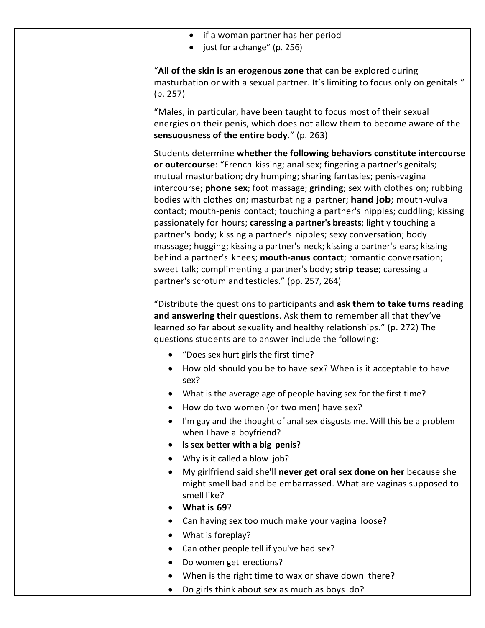| if a woman partner has her period<br>just for a change" (p. 256)                                                                                                                                                                                                                                                                                                                                                                                                                                                                                                                                                                                                                                                                                                                                                                                                                                                 |
|------------------------------------------------------------------------------------------------------------------------------------------------------------------------------------------------------------------------------------------------------------------------------------------------------------------------------------------------------------------------------------------------------------------------------------------------------------------------------------------------------------------------------------------------------------------------------------------------------------------------------------------------------------------------------------------------------------------------------------------------------------------------------------------------------------------------------------------------------------------------------------------------------------------|
| "All of the skin is an erogenous zone that can be explored during<br>masturbation or with a sexual partner. It's limiting to focus only on genitals."<br>(p. 257)                                                                                                                                                                                                                                                                                                                                                                                                                                                                                                                                                                                                                                                                                                                                                |
| "Males, in particular, have been taught to focus most of their sexual<br>energies on their penis, which does not allow them to become aware of the<br>sensuousness of the entire body." (p. 263)                                                                                                                                                                                                                                                                                                                                                                                                                                                                                                                                                                                                                                                                                                                 |
| Students determine whether the following behaviors constitute intercourse<br>or outercourse: "French kissing; anal sex; fingering a partner's genitals;<br>mutual masturbation; dry humping; sharing fantasies; penis-vagina<br>intercourse; phone sex; foot massage; grinding; sex with clothes on; rubbing<br>bodies with clothes on; masturbating a partner; hand job; mouth-vulva<br>contact; mouth-penis contact; touching a partner's nipples; cuddling; kissing<br>passionately for hours; caressing a partner's breasts; lightly touching a<br>partner's body; kissing a partner's nipples; sexy conversation; body<br>massage; hugging; kissing a partner's neck; kissing a partner's ears; kissing<br>behind a partner's knees; mouth-anus contact; romantic conversation;<br>sweet talk; complimenting a partner's body; strip tease; caressing a<br>partner's scrotum and testicles." (pp. 257, 264) |
| "Distribute the questions to participants and ask them to take turns reading<br>and answering their questions. Ask them to remember all that they've<br>learned so far about sexuality and healthy relationships." (p. 272) The<br>questions students are to answer include the following:                                                                                                                                                                                                                                                                                                                                                                                                                                                                                                                                                                                                                       |
| "Does sex hurt girls the first time?<br>٠<br>How old should you be to have sex? When is it acceptable to have<br>sex?<br>What is the average age of people having sex for the first time?<br>$\bullet$<br>How do two women (or two men) have sex?<br>٠<br>I'm gay and the thought of anal sex disgusts me. Will this be a problem<br>when I have a boyfriend?<br>Is sex better with a big penis?<br>٠<br>Why is it called a blow job?<br>٠<br>My girlfriend said she'll never get oral sex done on her because she<br>٠<br>might smell bad and be embarrassed. What are vaginas supposed to<br>smell like?<br>What is 69?<br>٠<br>Can having sex too much make your vagina loose?<br>٠<br>What is foreplay?<br>٠<br>Can other people tell if you've had sex?<br>Do women get erections?<br>٠<br>When is the right time to wax or shave down there?<br>$\bullet$                                                  |
| Do girls think about sex as much as boys do?<br>٠                                                                                                                                                                                                                                                                                                                                                                                                                                                                                                                                                                                                                                                                                                                                                                                                                                                                |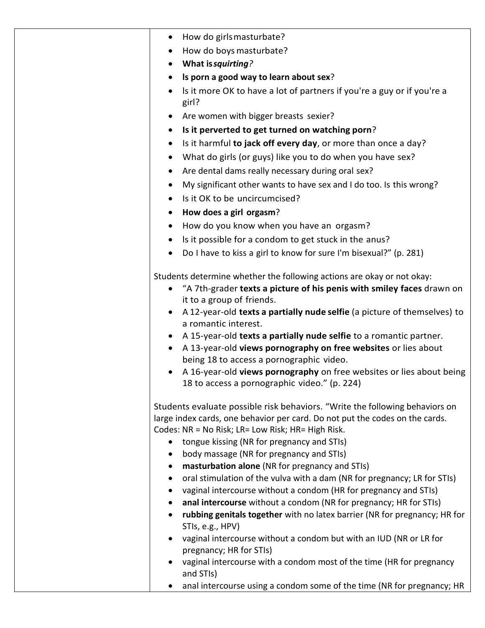| How do girls masturbate?                                                                                                                       |
|------------------------------------------------------------------------------------------------------------------------------------------------|
| How do boys masturbate?                                                                                                                        |
| What is squirting?                                                                                                                             |
| Is porn a good way to learn about sex?                                                                                                         |
| Is it more OK to have a lot of partners if you're a guy or if you're a<br>girl?                                                                |
| Are women with bigger breasts sexier?                                                                                                          |
| Is it perverted to get turned on watching porn?<br>$\bullet$                                                                                   |
| Is it harmful to jack off every day, or more than once a day?                                                                                  |
| What do girls (or guys) like you to do when you have sex?<br>$\bullet$                                                                         |
| Are dental dams really necessary during oral sex?                                                                                              |
| My significant other wants to have sex and I do too. Is this wrong?<br>$\bullet$                                                               |
| Is it OK to be uncircumcised?                                                                                                                  |
| How does a girl orgasm?<br>$\bullet$                                                                                                           |
| How do you know when you have an orgasm?                                                                                                       |
| Is it possible for a condom to get stuck in the anus?                                                                                          |
| Do I have to kiss a girl to know for sure I'm bisexual?" (p. 281)<br>$\bullet$                                                                 |
| Students determine whether the following actions are okay or not okay:                                                                         |
| "A 7th-grader texts a picture of his penis with smiley faces drawn on<br>٠                                                                     |
| it to a group of friends.<br>A 12-year-old texts a partially nude selfie (a picture of themselves) to                                          |
| a romantic interest.                                                                                                                           |
| A 15-year-old texts a partially nude selfie to a romantic partner.                                                                             |
| A 13-year-old views pornography on free websites or lies about                                                                                 |
| being 18 to access a pornographic video.                                                                                                       |
| A 16-year-old views pornography on free websites or lies about being<br>18 to access a pornographic video." (p. 224)                           |
| Students evaluate possible risk behaviors. "Write the following behaviors on                                                                   |
| large index cards, one behavior per card. Do not put the codes on the cards.<br>Codes: NR = No Risk; LR= Low Risk; HR= High Risk.              |
| tongue kissing (NR for pregnancy and STIs)                                                                                                     |
| body massage (NR for pregnancy and STIs)                                                                                                       |
| masturbation alone (NR for pregnancy and STIs)                                                                                                 |
| oral stimulation of the vulva with a dam (NR for pregnancy; LR for STIs)                                                                       |
| vaginal intercourse without a condom (HR for pregnancy and STIs)<br>$\bullet$                                                                  |
| anal intercourse without a condom (NR for pregnancy; HR for STIs)<br>rubbing genitals together with no latex barrier (NR for pregnancy; HR for |
| STIs, e.g., HPV)                                                                                                                               |
| vaginal intercourse without a condom but with an IUD (NR or LR for                                                                             |
| pregnancy; HR for STIs)                                                                                                                        |
| vaginal intercourse with a condom most of the time (HR for pregnancy<br>and STIs)                                                              |
| anal intercourse using a condom some of the time (NR for pregnancy; HR                                                                         |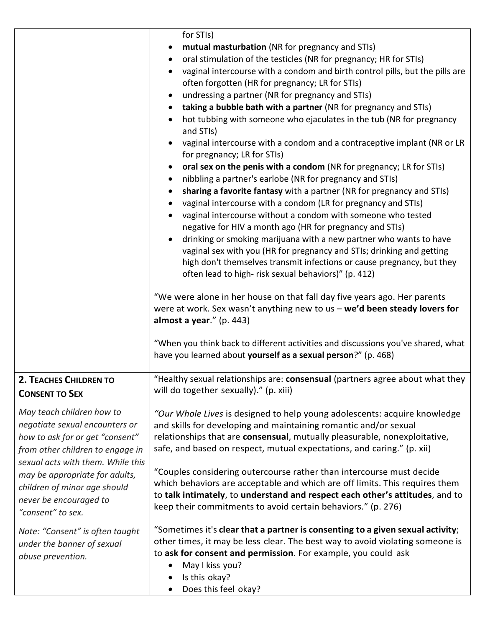|                                   | for STIs)                                                                                                                                             |
|-----------------------------------|-------------------------------------------------------------------------------------------------------------------------------------------------------|
|                                   | mutual masturbation (NR for pregnancy and STIs)<br>$\bullet$                                                                                          |
|                                   | oral stimulation of the testicles (NR for pregnancy; HR for STIs)<br>$\bullet$                                                                        |
|                                   | vaginal intercourse with a condom and birth control pills, but the pills are                                                                          |
|                                   | often forgotten (HR for pregnancy; LR for STIs)                                                                                                       |
|                                   | undressing a partner (NR for pregnancy and STIs)<br>$\bullet$                                                                                         |
|                                   | taking a bubble bath with a partner (NR for pregnancy and STIs)<br>$\bullet$                                                                          |
|                                   | hot tubbing with someone who ejaculates in the tub (NR for pregnancy<br>$\bullet$<br>and STIs)                                                        |
|                                   | vaginal intercourse with a condom and a contraceptive implant (NR or LR                                                                               |
|                                   | for pregnancy; LR for STIs)                                                                                                                           |
|                                   | oral sex on the penis with a condom (NR for pregnancy; LR for STIs)<br>$\bullet$                                                                      |
|                                   | nibbling a partner's earlobe (NR for pregnancy and STIs)<br>$\bullet$<br>sharing a favorite fantasy with a partner (NR for pregnancy and STIs)        |
|                                   | ٠<br>vaginal intercourse with a condom (LR for pregnancy and STIs)                                                                                    |
|                                   | vaginal intercourse without a condom with someone who tested<br>$\bullet$                                                                             |
|                                   | negative for HIV a month ago (HR for pregnancy and STIs)                                                                                              |
|                                   | drinking or smoking marijuana with a new partner who wants to have<br>$\bullet$                                                                       |
|                                   | vaginal sex with you (HR for pregnancy and STIs; drinking and getting                                                                                 |
|                                   | high don't themselves transmit infections or cause pregnancy, but they                                                                                |
|                                   | often lead to high- risk sexual behaviors)" (p. 412)                                                                                                  |
|                                   |                                                                                                                                                       |
|                                   | "We were alone in her house on that fall day five years ago. Her parents<br>were at work. Sex wasn't anything new to us - we'd been steady lovers for |
|                                   | almost a year." (p. 443)                                                                                                                              |
|                                   |                                                                                                                                                       |
|                                   | "When you think back to different activities and discussions you've shared, what                                                                      |
|                                   | have you learned about yourself as a sexual person?" (p. 468)                                                                                         |
|                                   |                                                                                                                                                       |
| 2. TEACHES CHILDREN TO            | "Healthy sexual relationships are: consensual (partners agree about what they                                                                         |
| <b>CONSENT TO SEX</b>             | will do together sexually)." (p. xiii)                                                                                                                |
| May teach children how to         | "Our Whole Lives is designed to help young adolescents: acquire knowledge                                                                             |
| negotiate sexual encounters or    | and skills for developing and maintaining romantic and/or sexual                                                                                      |
| how to ask for or get "consent"   | relationships that are consensual, mutually pleasurable, nonexploitative,                                                                             |
|                                   | safe, and based on respect, mutual expectations, and caring." (p. xii)                                                                                |
| from other children to engage in  |                                                                                                                                                       |
| sexual acts with them. While this | "Couples considering outercourse rather than intercourse must decide                                                                                  |
| may be appropriate for adults,    | which behaviors are acceptable and which are off limits. This requires them                                                                           |
| children of minor age should      | to talk intimately, to understand and respect each other's attitudes, and to                                                                          |
| never be encouraged to            | keep their commitments to avoid certain behaviors." (p. 276)                                                                                          |
| "consent" to sex.                 |                                                                                                                                                       |
| Note: "Consent" is often taught   | "Sometimes it's clear that a partner is consenting to a given sexual activity;                                                                        |
| under the banner of sexual        | other times, it may be less clear. The best way to avoid violating someone is                                                                         |
| abuse prevention.                 | to ask for consent and permission. For example, you could ask                                                                                         |
|                                   | May I kiss you?                                                                                                                                       |
|                                   | Is this okay?<br>$\bullet$                                                                                                                            |
|                                   | Does this feel okay?                                                                                                                                  |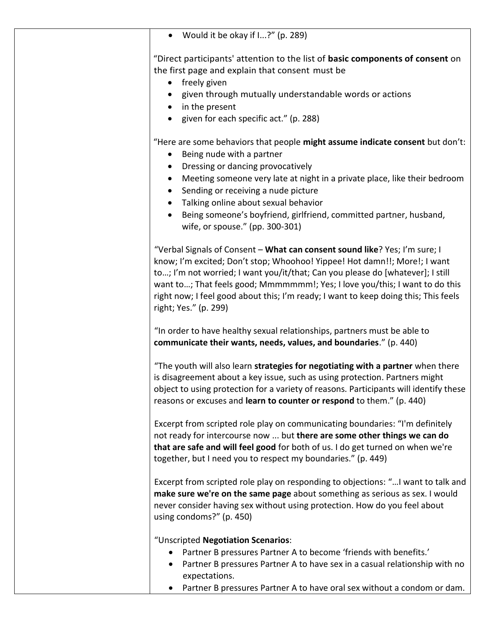| • Would it be okay if $1$ ?" (p. 289)                                                                                                                                                                                                                                                                                                                                                                                                                                                 |
|---------------------------------------------------------------------------------------------------------------------------------------------------------------------------------------------------------------------------------------------------------------------------------------------------------------------------------------------------------------------------------------------------------------------------------------------------------------------------------------|
| "Direct participants' attention to the list of basic components of consent on<br>the first page and explain that consent must be<br>• freely given<br>given through mutually understandable words or actions<br>in the present<br>given for each specific act." (p. 288)                                                                                                                                                                                                              |
| "Here are some behaviors that people might assume indicate consent but don't:<br>Being nude with a partner<br>$\bullet$<br>Dressing or dancing provocatively<br>$\bullet$<br>Meeting someone very late at night in a private place, like their bedroom<br>$\bullet$<br>Sending or receiving a nude picture<br>$\bullet$<br>Talking online about sexual behavior<br>$\bullet$<br>Being someone's boyfriend, girlfriend, committed partner, husband,<br>wife, or spouse." (pp. 300-301) |
| "Verbal Signals of Consent - What can consent sound like? Yes; I'm sure; I<br>know; I'm excited; Don't stop; Whoohoo! Yippee! Hot damn!!; More!; I want<br>to; I'm not worried; I want you/it/that; Can you please do [whatever]; I still<br>want to; That feels good; Mmmmmmm!; Yes; I love you/this; I want to do this<br>right now; I feel good about this; I'm ready; I want to keep doing this; This feels<br>right; Yes." (p. 299)                                              |
| "In order to have healthy sexual relationships, partners must be able to<br>communicate their wants, needs, values, and boundaries." (p. 440)                                                                                                                                                                                                                                                                                                                                         |
| "The youth will also learn strategies for negotiating with a partner when there<br>is disagreement about a key issue, such as using protection. Partners might<br>object to using protection for a variety of reasons. Participants will identify these<br>reasons or excuses and learn to counter or respond to them." (p. 440)                                                                                                                                                      |
| Excerpt from scripted role play on communicating boundaries: "I'm definitely<br>not ready for intercourse now  but there are some other things we can do<br>that are safe and will feel good for both of us. I do get turned on when we're<br>together, but I need you to respect my boundaries." (p. 449)                                                                                                                                                                            |
| Excerpt from scripted role play on responding to objections: " I want to talk and<br>make sure we're on the same page about something as serious as sex. I would<br>never consider having sex without using protection. How do you feel about<br>using condoms?" (p. 450)                                                                                                                                                                                                             |
| "Unscripted Negotiation Scenarios:<br>Partner B pressures Partner A to become 'friends with benefits.'<br>$\bullet$<br>Partner B pressures Partner A to have sex in a casual relationship with no<br>expectations.<br>Partner B pressures Partner A to have oral sex without a condom or dam.                                                                                                                                                                                         |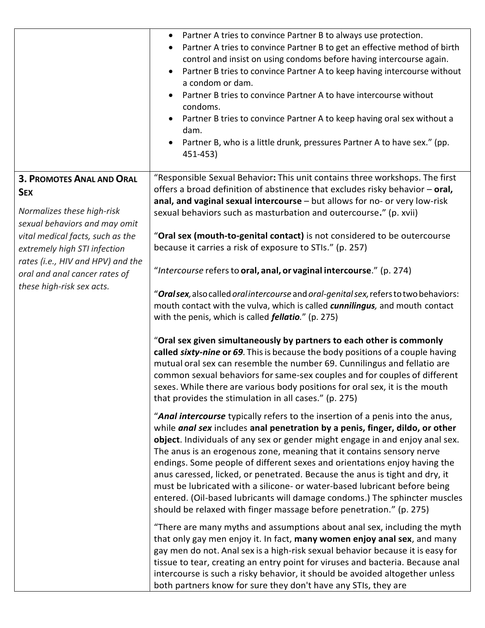|                                                                                                                                                                                                                                                                                      | Partner A tries to convince Partner B to always use protection.<br>Partner A tries to convince Partner B to get an effective method of birth<br>control and insist on using condoms before having intercourse again.<br>Partner B tries to convince Partner A to keep having intercourse without<br>$\bullet$<br>a condom or dam.<br>Partner B tries to convince Partner A to have intercourse without<br>condoms.<br>Partner B tries to convince Partner A to keep having oral sex without a<br>dam.<br>Partner B, who is a little drunk, pressures Partner A to have sex." (pp.<br>451-453)                                                                                                                                                                                                                                                                                                                                                                                                                                                                                                                                                                                                                                                                                                                                                                                                                                                                                                                                                                                                                                                                                                                                                                                                                                                                                                                                                                                                                                                                                                                                                                                                                                                                                                                                                                                                                                              |
|--------------------------------------------------------------------------------------------------------------------------------------------------------------------------------------------------------------------------------------------------------------------------------------|--------------------------------------------------------------------------------------------------------------------------------------------------------------------------------------------------------------------------------------------------------------------------------------------------------------------------------------------------------------------------------------------------------------------------------------------------------------------------------------------------------------------------------------------------------------------------------------------------------------------------------------------------------------------------------------------------------------------------------------------------------------------------------------------------------------------------------------------------------------------------------------------------------------------------------------------------------------------------------------------------------------------------------------------------------------------------------------------------------------------------------------------------------------------------------------------------------------------------------------------------------------------------------------------------------------------------------------------------------------------------------------------------------------------------------------------------------------------------------------------------------------------------------------------------------------------------------------------------------------------------------------------------------------------------------------------------------------------------------------------------------------------------------------------------------------------------------------------------------------------------------------------------------------------------------------------------------------------------------------------------------------------------------------------------------------------------------------------------------------------------------------------------------------------------------------------------------------------------------------------------------------------------------------------------------------------------------------------------------------------------------------------------------------------------------------------|
| <b>3. PROMOTES ANAL AND ORAL</b><br><b>SEX</b><br>Normalizes these high-risk<br>sexual behaviors and may omit<br>vital medical facts, such as the<br>extremely high STI infection<br>rates (i.e., HIV and HPV) and the<br>oral and anal cancer rates of<br>these high-risk sex acts. | "Responsible Sexual Behavior: This unit contains three workshops. The first<br>offers a broad definition of abstinence that excludes risky behavior $-$ oral,<br>anal, and vaginal sexual intercourse - but allows for no- or very low-risk<br>sexual behaviors such as masturbation and outercourse." (p. xvii)<br>"Oral sex (mouth-to-genital contact) is not considered to be outercourse<br>because it carries a risk of exposure to STIs." (p. 257)<br>"Intercourse refers to oral, anal, or vaginal intercourse." (p. 274)<br>"Oral sex, also called oral intercourse and oral-genital sex, refers to two behaviors:<br>mouth contact with the vulva, which is called cunnilingus, and mouth contact<br>with the penis, which is called <i>fellatio</i> ." (p. 275)<br>"Oral sex given simultaneously by partners to each other is commonly<br>called sixty-nine or 69. This is because the body positions of a couple having<br>mutual oral sex can resemble the number 69. Cunnilingus and fellatio are<br>common sexual behaviors for same-sex couples and for couples of different<br>sexes. While there are various body positions for oral sex, it is the mouth<br>that provides the stimulation in all cases." (p. 275)<br>"Anal intercourse typically refers to the insertion of a penis into the anus,<br>while anal sex includes anal penetration by a penis, finger, dildo, or other<br>object. Individuals of any sex or gender might engage in and enjoy anal sex.<br>The anus is an erogenous zone, meaning that it contains sensory nerve<br>endings. Some people of different sexes and orientations enjoy having the<br>anus caressed, licked, or penetrated. Because the anus is tight and dry, it<br>must be lubricated with a silicone- or water-based lubricant before being<br>entered. (Oil-based lubricants will damage condoms.) The sphincter muscles<br>should be relaxed with finger massage before penetration." (p. 275)<br>"There are many myths and assumptions about anal sex, including the myth<br>that only gay men enjoy it. In fact, many women enjoy anal sex, and many<br>gay men do not. Anal sex is a high-risk sexual behavior because it is easy for<br>tissue to tear, creating an entry point for viruses and bacteria. Because anal<br>intercourse is such a risky behavior, it should be avoided altogether unless<br>both partners know for sure they don't have any STIs, they are |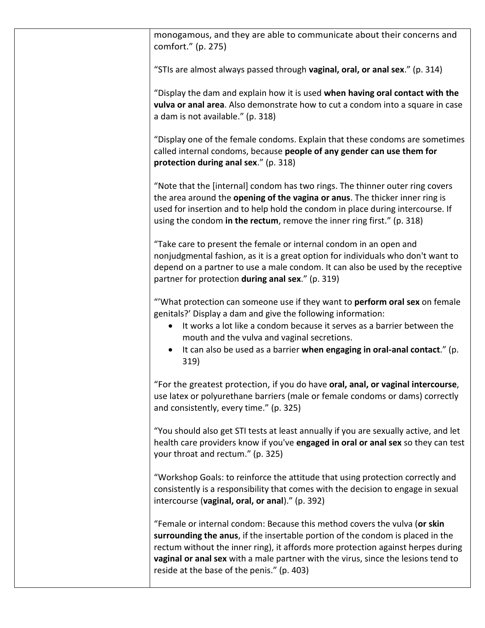| monogamous, and they are able to communicate about their concerns and<br>comfort." (p. 275)                                                                                                                                              |
|------------------------------------------------------------------------------------------------------------------------------------------------------------------------------------------------------------------------------------------|
|                                                                                                                                                                                                                                          |
| "STIs are almost always passed through vaginal, oral, or anal sex." (p. 314)                                                                                                                                                             |
| "Display the dam and explain how it is used when having oral contact with the<br>vulva or anal area. Also demonstrate how to cut a condom into a square in case                                                                          |
| a dam is not available." (p. 318)                                                                                                                                                                                                        |
| "Display one of the female condoms. Explain that these condoms are sometimes                                                                                                                                                             |
| called internal condoms, because people of any gender can use them for<br>protection during anal sex." (p. 318)                                                                                                                          |
| "Note that the [internal] condom has two rings. The thinner outer ring covers                                                                                                                                                            |
| the area around the opening of the vagina or anus. The thicker inner ring is<br>used for insertion and to help hold the condom in place during intercourse. If<br>using the condom in the rectum, remove the inner ring first." (p. 318) |
| "Take care to present the female or internal condom in an open and                                                                                                                                                                       |
| nonjudgmental fashion, as it is a great option for individuals who don't want to<br>depend on a partner to use a male condom. It can also be used by the receptive                                                                       |
| partner for protection during anal sex." (p. 319)                                                                                                                                                                                        |
| "What protection can someone use if they want to <b>perform oral sex</b> on female                                                                                                                                                       |
| genitals?' Display a dam and give the following information:<br>It works a lot like a condom because it serves as a barrier between the<br>$\bullet$                                                                                     |
| mouth and the vulva and vaginal secretions.<br>It can also be used as a barrier when engaging in oral-anal contact." (p.                                                                                                                 |
| 319)                                                                                                                                                                                                                                     |
| "For the greatest protection, if you do have oral, anal, or vaginal intercourse,<br>use latex or polyurethane barriers (male or female condoms or dams) correctly<br>and consistently, every time." (p. 325)                             |
| "You should also get STI tests at least annually if you are sexually active, and let                                                                                                                                                     |
| health care providers know if you've engaged in oral or anal sex so they can test<br>your throat and rectum." (p. 325)                                                                                                                   |
| "Workshop Goals: to reinforce the attitude that using protection correctly and                                                                                                                                                           |
| consistently is a responsibility that comes with the decision to engage in sexual<br>intercourse (vaginal, oral, or anal)." (p. 392)                                                                                                     |
| "Female or internal condom: Because this method covers the vulva (or skin<br>surrounding the anus, if the insertable portion of the condom is placed in the                                                                              |
| rectum without the inner ring), it affords more protection against herpes during                                                                                                                                                         |
| vaginal or anal sex with a male partner with the virus, since the lesions tend to<br>reside at the base of the penis." (p. 403)                                                                                                          |
|                                                                                                                                                                                                                                          |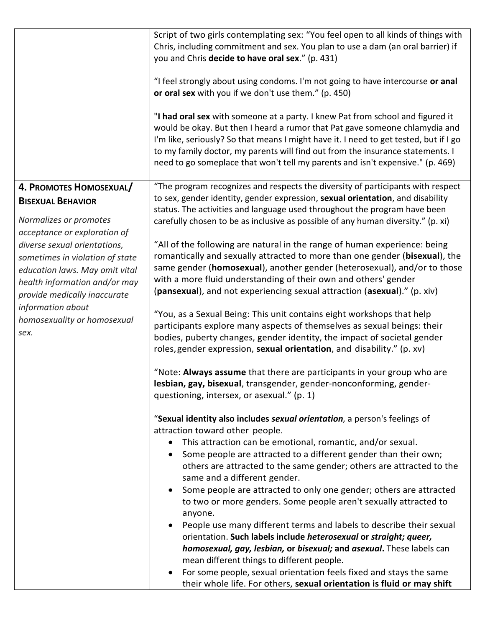|                                                              | Script of two girls contemplating sex: "You feel open to all kinds of things with<br>Chris, including commitment and sex. You plan to use a dam (an oral barrier) if<br>you and Chris decide to have oral sex." (p. 431)<br>"I feel strongly about using condoms. I'm not going to have intercourse or anal<br>or oral sex with you if we don't use them." (p. 450)<br>"I had oral sex with someone at a party. I knew Pat from school and figured it<br>would be okay. But then I heard a rumor that Pat gave someone chlamydia and<br>I'm like, seriously? So that means I might have it. I need to get tested, but if I go<br>to my family doctor, my parents will find out from the insurance statements. I<br>need to go someplace that won't tell my parents and isn't expensive." (p. 469) |
|--------------------------------------------------------------|---------------------------------------------------------------------------------------------------------------------------------------------------------------------------------------------------------------------------------------------------------------------------------------------------------------------------------------------------------------------------------------------------------------------------------------------------------------------------------------------------------------------------------------------------------------------------------------------------------------------------------------------------------------------------------------------------------------------------------------------------------------------------------------------------|
| 4. PROMOTES HOMOSEXUAL/                                      | "The program recognizes and respects the diversity of participants with respect<br>to sex, gender identity, gender expression, sexual orientation, and disability                                                                                                                                                                                                                                                                                                                                                                                                                                                                                                                                                                                                                                 |
| <b>BISEXUAL BEHAVIOR</b>                                     | status. The activities and language used throughout the program have been                                                                                                                                                                                                                                                                                                                                                                                                                                                                                                                                                                                                                                                                                                                         |
| Normalizes or promotes                                       | carefully chosen to be as inclusive as possible of any human diversity." (p. xi)                                                                                                                                                                                                                                                                                                                                                                                                                                                                                                                                                                                                                                                                                                                  |
| acceptance or exploration of<br>diverse sexual orientations, | "All of the following are natural in the range of human experience: being                                                                                                                                                                                                                                                                                                                                                                                                                                                                                                                                                                                                                                                                                                                         |
| sometimes in violation of state                              | romantically and sexually attracted to more than one gender (bisexual), the                                                                                                                                                                                                                                                                                                                                                                                                                                                                                                                                                                                                                                                                                                                       |
| education laws. May omit vital                               | same gender (homosexual), another gender (heterosexual), and/or to those                                                                                                                                                                                                                                                                                                                                                                                                                                                                                                                                                                                                                                                                                                                          |
| health information and/or may                                | with a more fluid understanding of their own and others' gender<br>(pansexual), and not experiencing sexual attraction (asexual)." (p. xiv)                                                                                                                                                                                                                                                                                                                                                                                                                                                                                                                                                                                                                                                       |
| provide medically inaccurate                                 |                                                                                                                                                                                                                                                                                                                                                                                                                                                                                                                                                                                                                                                                                                                                                                                                   |
| information about<br>homosexuality or homosexual<br>sex.     | "You, as a Sexual Being: This unit contains eight workshops that help<br>participants explore many aspects of themselves as sexual beings: their<br>bodies, puberty changes, gender identity, the impact of societal gender<br>roles, gender expression, sexual orientation, and disability." (p. xv)                                                                                                                                                                                                                                                                                                                                                                                                                                                                                             |
|                                                              | "Note: Always assume that there are participants in your group who are<br>lesbian, gay, bisexual, transgender, gender-nonconforming, gender-<br>questioning, intersex, or asexual." (p. 1)                                                                                                                                                                                                                                                                                                                                                                                                                                                                                                                                                                                                        |
|                                                              | "Sexual identity also includes sexual orientation, a person's feelings of<br>attraction toward other people.                                                                                                                                                                                                                                                                                                                                                                                                                                                                                                                                                                                                                                                                                      |
|                                                              | This attraction can be emotional, romantic, and/or sexual.                                                                                                                                                                                                                                                                                                                                                                                                                                                                                                                                                                                                                                                                                                                                        |
|                                                              | Some people are attracted to a different gender than their own;<br>others are attracted to the same gender; others are attracted to the<br>same and a different gender.                                                                                                                                                                                                                                                                                                                                                                                                                                                                                                                                                                                                                           |
|                                                              | Some people are attracted to only one gender; others are attracted<br>to two or more genders. Some people aren't sexually attracted to<br>anyone.                                                                                                                                                                                                                                                                                                                                                                                                                                                                                                                                                                                                                                                 |
|                                                              | People use many different terms and labels to describe their sexual<br>$\bullet$<br>orientation. Such labels include heterosexual or straight; queer,<br>homosexual, gay, lesbian, or bisexual; and asexual. These labels can<br>mean different things to different people.                                                                                                                                                                                                                                                                                                                                                                                                                                                                                                                       |
|                                                              | For some people, sexual orientation feels fixed and stays the same                                                                                                                                                                                                                                                                                                                                                                                                                                                                                                                                                                                                                                                                                                                                |
|                                                              | their whole life. For others, sexual orientation is fluid or may shift                                                                                                                                                                                                                                                                                                                                                                                                                                                                                                                                                                                                                                                                                                                            |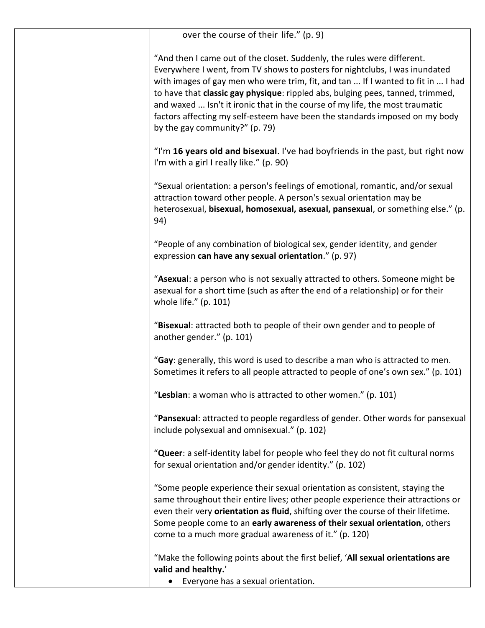| over the course of their life." (p. 9)                                                                                                                                                                                                                                                                                                                                                                                                                                                                                        |
|-------------------------------------------------------------------------------------------------------------------------------------------------------------------------------------------------------------------------------------------------------------------------------------------------------------------------------------------------------------------------------------------------------------------------------------------------------------------------------------------------------------------------------|
| "And then I came out of the closet. Suddenly, the rules were different.<br>Everywhere I went, from TV shows to posters for nightclubs, I was inundated<br>with images of gay men who were trim, fit, and tan  If I wanted to fit in  I had<br>to have that classic gay physique: rippled abs, bulging pees, tanned, trimmed,<br>and waxed  Isn't it ironic that in the course of my life, the most traumatic<br>factors affecting my self-esteem have been the standards imposed on my body<br>by the gay community?" (p. 79) |
| "I'm 16 years old and bisexual. I've had boyfriends in the past, but right now<br>I'm with a girl I really like." (p. 90)                                                                                                                                                                                                                                                                                                                                                                                                     |
| "Sexual orientation: a person's feelings of emotional, romantic, and/or sexual<br>attraction toward other people. A person's sexual orientation may be<br>heterosexual, bisexual, homosexual, asexual, pansexual, or something else." (p.<br>94)                                                                                                                                                                                                                                                                              |
| "People of any combination of biological sex, gender identity, and gender<br>expression can have any sexual orientation." (p. 97)                                                                                                                                                                                                                                                                                                                                                                                             |
| "Asexual: a person who is not sexually attracted to others. Someone might be<br>asexual for a short time (such as after the end of a relationship) or for their<br>whole life." (p. 101)                                                                                                                                                                                                                                                                                                                                      |
| "Bisexual: attracted both to people of their own gender and to people of<br>another gender." (p. 101)                                                                                                                                                                                                                                                                                                                                                                                                                         |
| "Gay: generally, this word is used to describe a man who is attracted to men.<br>Sometimes it refers to all people attracted to people of one's own sex." (p. 101)                                                                                                                                                                                                                                                                                                                                                            |
| "Lesbian: a woman who is attracted to other women." (p. 101)                                                                                                                                                                                                                                                                                                                                                                                                                                                                  |
| "Pansexual: attracted to people regardless of gender. Other words for pansexual<br>include polysexual and omnisexual." (p. 102)                                                                                                                                                                                                                                                                                                                                                                                               |
| "Queer: a self-identity label for people who feel they do not fit cultural norms<br>for sexual orientation and/or gender identity." (p. 102)                                                                                                                                                                                                                                                                                                                                                                                  |
| "Some people experience their sexual orientation as consistent, staying the<br>same throughout their entire lives; other people experience their attractions or<br>even their very orientation as fluid, shifting over the course of their lifetime.<br>Some people come to an early awareness of their sexual orientation, others<br>come to a much more gradual awareness of it." (p. 120)                                                                                                                                  |
| "Make the following points about the first belief, 'All sexual orientations are<br>valid and healthy.'                                                                                                                                                                                                                                                                                                                                                                                                                        |
| Everyone has a sexual orientation.                                                                                                                                                                                                                                                                                                                                                                                                                                                                                            |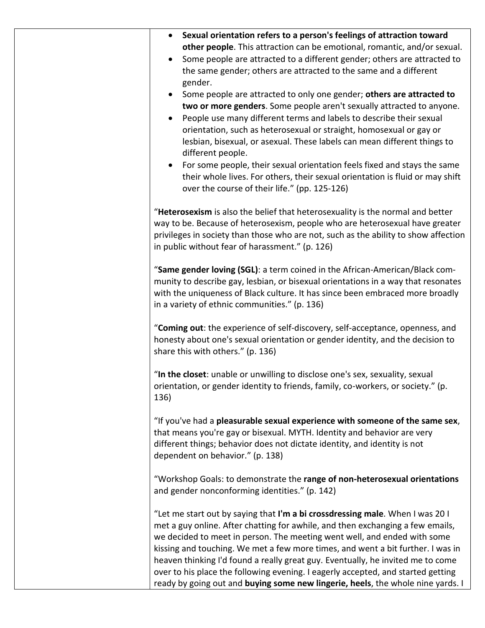| Sexual orientation refers to a person's feelings of attraction toward<br>$\bullet$    |
|---------------------------------------------------------------------------------------|
| other people. This attraction can be emotional, romantic, and/or sexual.              |
| Some people are attracted to a different gender; others are attracted to<br>$\bullet$ |
| the same gender; others are attracted to the same and a different                     |
| gender.                                                                               |
| Some people are attracted to only one gender; others are attracted to<br>$\bullet$    |
| two or more genders. Some people aren't sexually attracted to anyone.                 |
| People use many different terms and labels to describe their sexual<br>$\bullet$      |
| orientation, such as heterosexual or straight, homosexual or gay or                   |
| lesbian, bisexual, or asexual. These labels can mean different things to              |
| different people.                                                                     |
|                                                                                       |
| For some people, their sexual orientation feels fixed and stays the same              |
| their whole lives. For others, their sexual orientation is fluid or may shift         |
| over the course of their life." (pp. 125-126)                                         |
| "Heterosexism is also the belief that heterosexuality is the normal and better        |
| way to be. Because of heterosexism, people who are heterosexual have greater          |
| privileges in society than those who are not, such as the ability to show affection   |
|                                                                                       |
| in public without fear of harassment." (p. 126)                                       |
| "Same gender loving (SGL): a term coined in the African-American/Black com-           |
| munity to describe gay, lesbian, or bisexual orientations in a way that resonates     |
| with the uniqueness of Black culture. It has since been embraced more broadly         |
| in a variety of ethnic communities." (p. 136)                                         |
|                                                                                       |
| "Coming out: the experience of self-discovery, self-acceptance, openness, and         |
| honesty about one's sexual orientation or gender identity, and the decision to        |
| share this with others." (p. 136)                                                     |
|                                                                                       |
| "In the closet: unable or unwilling to disclose one's sex, sexuality, sexual          |
| orientation, or gender identity to friends, family, co-workers, or society." (p.      |
| 136)                                                                                  |
|                                                                                       |
| "If you've had a pleasurable sexual experience with someone of the same sex,          |
| that means you're gay or bisexual. MYTH. Identity and behavior are very               |
| different things; behavior does not dictate identity, and identity is not             |
| dependent on behavior." (p. 138)                                                      |
|                                                                                       |
| "Workshop Goals: to demonstrate the range of non-heterosexual orientations            |
| and gender nonconforming identities." (p. 142)                                        |
|                                                                                       |
| "Let me start out by saying that I'm a bi crossdressing male. When I was 20 I         |
| met a guy online. After chatting for awhile, and then exchanging a few emails,        |
| we decided to meet in person. The meeting went well, and ended with some              |
| kissing and touching. We met a few more times, and went a bit further. I was in       |
| heaven thinking I'd found a really great guy. Eventually, he invited me to come       |
| over to his place the following evening. I eagerly accepted, and started getting      |
| ready by going out and buying some new lingerie, heels, the whole nine yards. I       |
|                                                                                       |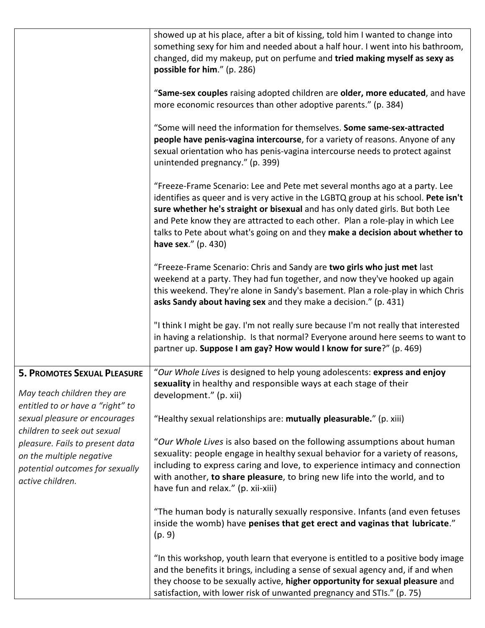|                                                                                                                                                                                                                                                                                             | showed up at his place, after a bit of kissing, told him I wanted to change into<br>something sexy for him and needed about a half hour. I went into his bathroom,<br>changed, did my makeup, put on perfume and tried making myself as sexy as<br>possible for him." (p. 286)                                                                                                                                                               |
|---------------------------------------------------------------------------------------------------------------------------------------------------------------------------------------------------------------------------------------------------------------------------------------------|----------------------------------------------------------------------------------------------------------------------------------------------------------------------------------------------------------------------------------------------------------------------------------------------------------------------------------------------------------------------------------------------------------------------------------------------|
|                                                                                                                                                                                                                                                                                             | "Same-sex couples raising adopted children are older, more educated, and have<br>more economic resources than other adoptive parents." (p. 384)                                                                                                                                                                                                                                                                                              |
|                                                                                                                                                                                                                                                                                             | "Some will need the information for themselves. Some same-sex-attracted<br>people have penis-vagina intercourse, for a variety of reasons. Anyone of any<br>sexual orientation who has penis-vagina intercourse needs to protect against<br>unintended pregnancy." (p. 399)                                                                                                                                                                  |
|                                                                                                                                                                                                                                                                                             | "Freeze-Frame Scenario: Lee and Pete met several months ago at a party. Lee<br>identifies as queer and is very active in the LGBTQ group at his school. Pete isn't<br>sure whether he's straight or bisexual and has only dated girls. But both Lee<br>and Pete know they are attracted to each other. Plan a role-play in which Lee<br>talks to Pete about what's going on and they make a decision about whether to<br>have sex." (p. 430) |
|                                                                                                                                                                                                                                                                                             | "Freeze-Frame Scenario: Chris and Sandy are two girls who just met last<br>weekend at a party. They had fun together, and now they've hooked up again<br>this weekend. They're alone in Sandy's basement. Plan a role-play in which Chris<br>asks Sandy about having sex and they make a decision." (p. 431)                                                                                                                                 |
|                                                                                                                                                                                                                                                                                             | "I think I might be gay. I'm not really sure because I'm not really that interested<br>in having a relationship. Is that normal? Everyone around here seems to want to<br>partner up. Suppose I am gay? How would I know for sure?" (p. 469)                                                                                                                                                                                                 |
| <b>5. PROMOTES SEXUAL PLEASURE</b><br>May teach children they are<br>entitled to or have a "right" to<br>sexual pleasure or encourages<br>children to seek out sexual<br>pleasure. Fails to present data<br>on the multiple negative<br>potential outcomes for sexually<br>active children. | "Our Whole Lives is designed to help young adolescents: express and enjoy<br>sexuality in healthy and responsible ways at each stage of their<br>development." (p. xii)                                                                                                                                                                                                                                                                      |
|                                                                                                                                                                                                                                                                                             | "Healthy sexual relationships are: mutually pleasurable." (p. xiii)                                                                                                                                                                                                                                                                                                                                                                          |
|                                                                                                                                                                                                                                                                                             | "Our Whole Lives is also based on the following assumptions about human<br>sexuality: people engage in healthy sexual behavior for a variety of reasons,<br>including to express caring and love, to experience intimacy and connection<br>with another, to share pleasure, to bring new life into the world, and to<br>have fun and relax." (p. xii-xiii)                                                                                   |
|                                                                                                                                                                                                                                                                                             | "The human body is naturally sexually responsive. Infants (and even fetuses<br>inside the womb) have penises that get erect and vaginas that lubricate."<br>(p. 9)                                                                                                                                                                                                                                                                           |
|                                                                                                                                                                                                                                                                                             | "In this workshop, youth learn that everyone is entitled to a positive body image<br>and the benefits it brings, including a sense of sexual agency and, if and when<br>they choose to be sexually active, higher opportunity for sexual pleasure and<br>satisfaction, with lower risk of unwanted pregnancy and STIs." (p. 75)                                                                                                              |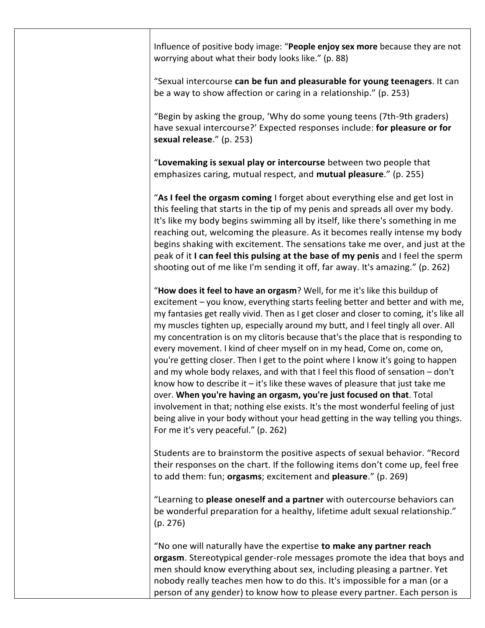Influence of positive body image: "**People enjoy sex more** because they are not worrying about what their body looks like." (p. 88)

"Sexual intercourse **can be fun and pleasurable for young teenagers**. It can be a way to show affection or caring in a relationship." (p. 253)

"Begin by asking the group, 'Why do some young teens (7th-9th graders) have sexual intercourse?' Expected responses include: **for pleasure or for sexual release**." (p. 253)

"**Lovemaking is sexual play or intercourse** between two people that emphasizes caring, mutual respect, and **mutual pleasure**." (p. 255)

"**As I feel the orgasm coming** I forget about everything else and get lost in this feeling that starts in the tip of my penis and spreads all over my body. It's like my body begins swimming all by itself, like there's something in me reaching out, welcoming the pleasure. As it becomes really intense my body begins shaking with excitement. The sensations take me over, and just at the peak of it **I can feel this pulsing at the base of my penis** and I feel the sperm shooting out of me like I'm sending it off, far away. It's amazing." (p. 262)

"**How does it feel to have an orgasm**? Well, for me it's like this buildup of excitement – you know, everything starts feeling better and better and with me, my fantasies get really vivid. Then as I get closer and closer to coming, it's like all my muscles tighten up, especially around my butt, and I feel tingly all over. All my concentration is on my clitoris because that's the place that is responding to every movement. I kind of cheer myself on in my head, Come on, come on, you're getting closer. Then I get to the point where I know it's going to happen and my whole body relaxes, and with that I feel this flood of sensation – don't know how to describe it  $-$  it's like these waves of pleasure that just take me over. **When you're having an orgasm, you're just focused on that**. Total involvement in that; nothing else exists. It's the most wonderful feeling of just being alive in your body without your head getting in the way telling you things. For me it's very peaceful." (p. 262)

Students are to brainstorm the positive aspects of sexual behavior. "Record their responses on the chart. If the following items don't come up, feel free to add them: fun; **orgasms**; excitement and **pleasure**." (p. 269)

"Learning to **please oneself and a partner** with outercourse behaviors can be wonderful preparation for a healthy, lifetime adult sexual relationship." (p. 276)

"No one will naturally have the expertise **to make any partner reach orgasm**. Stereotypical gender-role messages promote the idea that boys and men should know everything about sex, including pleasing a partner. Yet nobody really teaches men how to do this. It's impossible for a man (or a person of any gender) to know how to please every partner. Each person is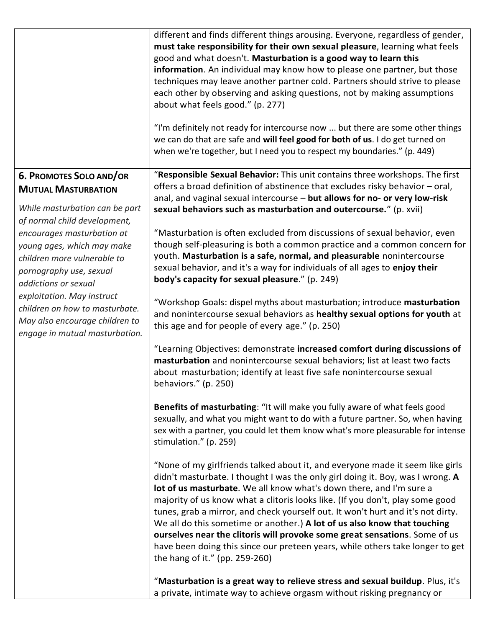|                                                                                                                                                                                                                                                                                                                | different and finds different things arousing. Everyone, regardless of gender,<br>must take responsibility for their own sexual pleasure, learning what feels<br>good and what doesn't. Masturbation is a good way to learn this<br>information. An individual may know how to please one partner, but those<br>techniques may leave another partner cold. Partners should strive to please<br>each other by observing and asking questions, not by making assumptions<br>about what feels good." (p. 277)<br>"I'm definitely not ready for intercourse now  but there are some other things<br>we can do that are safe and will feel good for both of us. I do get turned on<br>when we're together, but I need you to respect my boundaries." (p. 449) |
|----------------------------------------------------------------------------------------------------------------------------------------------------------------------------------------------------------------------------------------------------------------------------------------------------------------|----------------------------------------------------------------------------------------------------------------------------------------------------------------------------------------------------------------------------------------------------------------------------------------------------------------------------------------------------------------------------------------------------------------------------------------------------------------------------------------------------------------------------------------------------------------------------------------------------------------------------------------------------------------------------------------------------------------------------------------------------------|
| <b>6. PROMOTES SOLO AND/OR</b><br><b>MUTUAL MASTURBATION</b><br>While masturbation can be part                                                                                                                                                                                                                 | "Responsible Sexual Behavior: This unit contains three workshops. The first<br>offers a broad definition of abstinence that excludes risky behavior - oral,<br>anal, and vaginal sexual intercourse - but allows for no- or very low-risk<br>sexual behaviors such as masturbation and outercourse." (p. xvii)                                                                                                                                                                                                                                                                                                                                                                                                                                           |
| of normal child development,<br>encourages masturbation at<br>young ages, which may make<br>children more vulnerable to<br>pornography use, sexual<br>addictions or sexual<br>exploitation. May instruct<br>children on how to masturbate.<br>May also encourage children to<br>engage in mutual masturbation. | "Masturbation is often excluded from discussions of sexual behavior, even<br>though self-pleasuring is both a common practice and a common concern for<br>youth. Masturbation is a safe, normal, and pleasurable nonintercourse<br>sexual behavior, and it's a way for individuals of all ages to enjoy their<br>body's capacity for sexual pleasure." (p. 249)                                                                                                                                                                                                                                                                                                                                                                                          |
|                                                                                                                                                                                                                                                                                                                | "Workshop Goals: dispel myths about masturbation; introduce masturbation<br>and nonintercourse sexual behaviors as healthy sexual options for youth at<br>this age and for people of every age." (p. 250)                                                                                                                                                                                                                                                                                                                                                                                                                                                                                                                                                |
|                                                                                                                                                                                                                                                                                                                | "Learning Objectives: demonstrate increased comfort during discussions of<br>masturbation and nonintercourse sexual behaviors; list at least two facts<br>about masturbation; identify at least five safe nonintercourse sexual<br>behaviors." (p. 250)                                                                                                                                                                                                                                                                                                                                                                                                                                                                                                  |
|                                                                                                                                                                                                                                                                                                                | Benefits of masturbating: "It will make you fully aware of what feels good<br>sexually, and what you might want to do with a future partner. So, when having<br>sex with a partner, you could let them know what's more pleasurable for intense<br>stimulation." (p. 259)                                                                                                                                                                                                                                                                                                                                                                                                                                                                                |
|                                                                                                                                                                                                                                                                                                                | "None of my girlfriends talked about it, and everyone made it seem like girls<br>didn't masturbate. I thought I was the only girl doing it. Boy, was I wrong. A<br>lot of us masturbate. We all know what's down there, and I'm sure a<br>majority of us know what a clitoris looks like. (If you don't, play some good<br>tunes, grab a mirror, and check yourself out. It won't hurt and it's not dirty.<br>We all do this sometime or another.) A lot of us also know that touching<br>ourselves near the clitoris will provoke some great sensations. Some of us<br>have been doing this since our preteen years, while others take longer to get<br>the hang of it." (pp. 259-260)                                                                  |
|                                                                                                                                                                                                                                                                                                                | "Masturbation is a great way to relieve stress and sexual buildup. Plus, it's<br>a private, intimate way to achieve orgasm without risking pregnancy or                                                                                                                                                                                                                                                                                                                                                                                                                                                                                                                                                                                                  |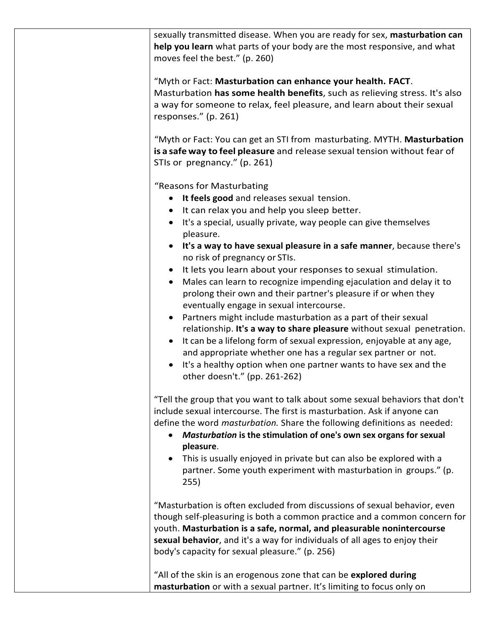| sexually transmitted disease. When you are ready for sex, masturbation can<br>help you learn what parts of your body are the most responsive, and what<br>moves feel the best." (p. 260)                                                                                                                                                                                                                                                                                                                                                                                                                                                                                                                                                                                                                                                                                                                                                                                                                                                     |
|----------------------------------------------------------------------------------------------------------------------------------------------------------------------------------------------------------------------------------------------------------------------------------------------------------------------------------------------------------------------------------------------------------------------------------------------------------------------------------------------------------------------------------------------------------------------------------------------------------------------------------------------------------------------------------------------------------------------------------------------------------------------------------------------------------------------------------------------------------------------------------------------------------------------------------------------------------------------------------------------------------------------------------------------|
| "Myth or Fact: Masturbation can enhance your health. FACT.<br>Masturbation has some health benefits, such as relieving stress. It's also<br>a way for someone to relax, feel pleasure, and learn about their sexual<br>responses." (p. 261)                                                                                                                                                                                                                                                                                                                                                                                                                                                                                                                                                                                                                                                                                                                                                                                                  |
| "Myth or Fact: You can get an STI from masturbating. MYTH. Masturbation<br>is a safe way to feel pleasure and release sexual tension without fear of<br>STIs or pregnancy." (p. 261)                                                                                                                                                                                                                                                                                                                                                                                                                                                                                                                                                                                                                                                                                                                                                                                                                                                         |
| "Reasons for Masturbating<br>It feels good and releases sexual tension.<br>$\bullet$<br>It can relax you and help you sleep better.<br>It's a special, usually private, way people can give themselves<br>$\bullet$<br>pleasure.<br>It's a way to have sexual pleasure in a safe manner, because there's<br>no risk of pregnancy or STIs.<br>It lets you learn about your responses to sexual stimulation.<br>$\bullet$<br>Males can learn to recognize impending ejaculation and delay it to<br>$\bullet$<br>prolong their own and their partner's pleasure if or when they<br>eventually engage in sexual intercourse.<br>Partners might include masturbation as a part of their sexual<br>$\bullet$<br>relationship. It's a way to share pleasure without sexual penetration.<br>It can be a lifelong form of sexual expression, enjoyable at any age,<br>$\bullet$<br>and appropriate whether one has a regular sex partner or not.<br>It's a healthy option when one partner wants to have sex and the<br>other doesn't." (pp. 261-262) |
| "Tell the group that you want to talk about some sexual behaviors that don't<br>include sexual intercourse. The first is masturbation. Ask if anyone can<br>define the word masturbation. Share the following definitions as needed:<br>Masturbation is the stimulation of one's own sex organs for sexual<br>pleasure.<br>This is usually enjoyed in private but can also be explored with a<br>partner. Some youth experiment with masturbation in groups." (p.<br>255)                                                                                                                                                                                                                                                                                                                                                                                                                                                                                                                                                                    |
| "Masturbation is often excluded from discussions of sexual behavior, even<br>though self-pleasuring is both a common practice and a common concern for<br>youth. Masturbation is a safe, normal, and pleasurable nonintercourse<br>sexual behavior, and it's a way for individuals of all ages to enjoy their<br>body's capacity for sexual pleasure." (p. 256)                                                                                                                                                                                                                                                                                                                                                                                                                                                                                                                                                                                                                                                                              |
| "All of the skin is an erogenous zone that can be explored during<br>masturbation or with a sexual partner. It's limiting to focus only on                                                                                                                                                                                                                                                                                                                                                                                                                                                                                                                                                                                                                                                                                                                                                                                                                                                                                                   |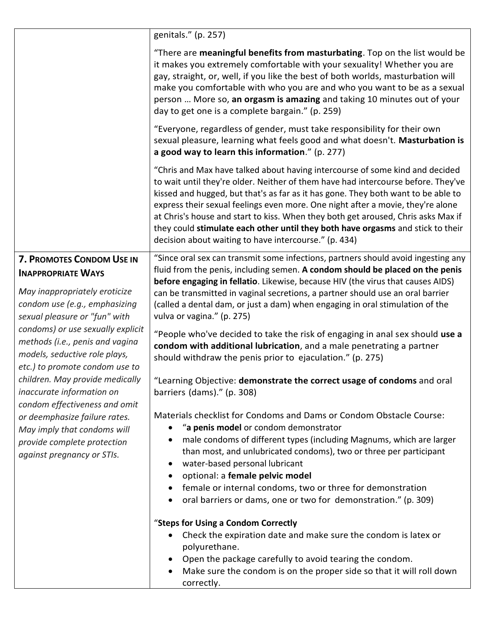|                                                                                                                                                                                                                                                                                                                                                                       | genitals." (p. 257)                                                                                                                                                                                                                                                                                                                                                                                                                                                                                                                                                        |
|-----------------------------------------------------------------------------------------------------------------------------------------------------------------------------------------------------------------------------------------------------------------------------------------------------------------------------------------------------------------------|----------------------------------------------------------------------------------------------------------------------------------------------------------------------------------------------------------------------------------------------------------------------------------------------------------------------------------------------------------------------------------------------------------------------------------------------------------------------------------------------------------------------------------------------------------------------------|
|                                                                                                                                                                                                                                                                                                                                                                       | "There are meaningful benefits from masturbating. Top on the list would be<br>it makes you extremely comfortable with your sexuality! Whether you are<br>gay, straight, or, well, if you like the best of both worlds, masturbation will<br>make you comfortable with who you are and who you want to be as a sexual<br>person  More so, an orgasm is amazing and taking 10 minutes out of your<br>day to get one is a complete bargain." (p. 259)                                                                                                                         |
|                                                                                                                                                                                                                                                                                                                                                                       | "Everyone, regardless of gender, must take responsibility for their own<br>sexual pleasure, learning what feels good and what doesn't. Masturbation is<br>a good way to learn this information." (p. 277)                                                                                                                                                                                                                                                                                                                                                                  |
|                                                                                                                                                                                                                                                                                                                                                                       | "Chris and Max have talked about having intercourse of some kind and decided<br>to wait until they're older. Neither of them have had intercourse before. They've<br>kissed and hugged, but that's as far as it has gone. They both want to be able to<br>express their sexual feelings even more. One night after a movie, they're alone<br>at Chris's house and start to kiss. When they both get aroused, Chris asks Max if<br>they could stimulate each other until they both have orgasms and stick to their<br>decision about waiting to have intercourse." (p. 434) |
| 7. PROMOTES CONDOM USE IN<br><b>INAPPROPRIATE WAYS</b><br>May inappropriately eroticize<br>condom use (e.g., emphasizing<br>sexual pleasure or "fun" with                                                                                                                                                                                                             | "Since oral sex can transmit some infections, partners should avoid ingesting any<br>fluid from the penis, including semen. A condom should be placed on the penis<br>before engaging in fellatio. Likewise, because HIV (the virus that causes AIDS)<br>can be transmitted in vaginal secretions, a partner should use an oral barrier<br>(called a dental dam, or just a dam) when engaging in oral stimulation of the<br>vulva or vagina." (p. 275)                                                                                                                     |
| condoms) or use sexually explicit<br>methods (i.e., penis and vagina<br>models, seductive role plays,<br>etc.) to promote condom use to<br>children. May provide medically<br>inaccurate information on<br>condom effectiveness and omit<br>or deemphasize failure rates.<br>May imply that condoms will<br>provide complete protection<br>against pregnancy or STIs. | "People who've decided to take the risk of engaging in anal sex should use a<br>condom with additional lubrication, and a male penetrating a partner<br>should withdraw the penis prior to ejaculation." (p. 275)                                                                                                                                                                                                                                                                                                                                                          |
|                                                                                                                                                                                                                                                                                                                                                                       | "Learning Objective: demonstrate the correct usage of condoms and oral<br>barriers (dams)." (p. 308)                                                                                                                                                                                                                                                                                                                                                                                                                                                                       |
|                                                                                                                                                                                                                                                                                                                                                                       | Materials checklist for Condoms and Dams or Condom Obstacle Course:<br>"a penis model or condom demonstrator<br>male condoms of different types (including Magnums, which are larger<br>$\bullet$<br>than most, and unlubricated condoms), two or three per participant<br>water-based personal lubricant<br>$\bullet$<br>optional: a female pelvic model<br>٠<br>female or internal condoms, two or three for demonstration<br>oral barriers or dams, one or two for demonstration." (p. 309)                                                                             |
|                                                                                                                                                                                                                                                                                                                                                                       | "Steps for Using a Condom Correctly<br>Check the expiration date and make sure the condom is latex or<br>polyurethane.<br>Open the package carefully to avoid tearing the condom.<br>Make sure the condom is on the proper side so that it will roll down<br>$\bullet$<br>correctly.                                                                                                                                                                                                                                                                                       |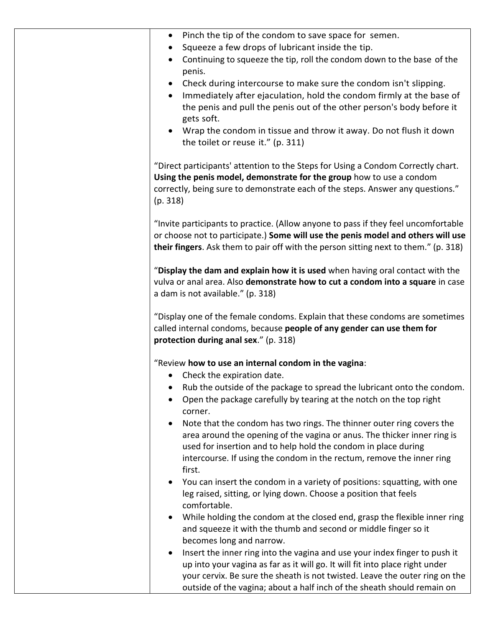| Pinch the tip of the condom to save space for semen.<br>$\bullet$                                                                                      |
|--------------------------------------------------------------------------------------------------------------------------------------------------------|
| Squeeze a few drops of lubricant inside the tip.                                                                                                       |
| Continuing to squeeze the tip, roll the condom down to the base of the                                                                                 |
| penis.                                                                                                                                                 |
| Check during intercourse to make sure the condom isn't slipping.                                                                                       |
| Immediately after ejaculation, hold the condom firmly at the base of                                                                                   |
| the penis and pull the penis out of the other person's body before it                                                                                  |
| gets soft.                                                                                                                                             |
| Wrap the condom in tissue and throw it away. Do not flush it down                                                                                      |
| the toilet or reuse it." (p. 311)                                                                                                                      |
|                                                                                                                                                        |
| "Direct participants' attention to the Steps for Using a Condom Correctly chart.                                                                       |
| Using the penis model, demonstrate for the group how to use a condom<br>correctly, being sure to demonstrate each of the steps. Answer any questions." |
| (p. 318)                                                                                                                                               |
|                                                                                                                                                        |
| "Invite participants to practice. (Allow anyone to pass if they feel uncomfortable                                                                     |
| or choose not to participate.) Some will use the penis model and others will use                                                                       |
| their fingers. Ask them to pair off with the person sitting next to them." (p. 318)                                                                    |
|                                                                                                                                                        |
| "Display the dam and explain how it is used when having oral contact with the                                                                          |
| vulva or anal area. Also demonstrate how to cut a condom into a square in case                                                                         |
| a dam is not available." (p. 318)                                                                                                                      |
|                                                                                                                                                        |
| "Display one of the female condoms. Explain that these condoms are sometimes                                                                           |
| called internal condoms, because people of any gender can use them for                                                                                 |
| protection during anal sex." (p. 318)                                                                                                                  |
| "Review how to use an internal condom in the vagina:                                                                                                   |
| Check the expiration date.<br>$\bullet$                                                                                                                |
| Rub the outside of the package to spread the lubricant onto the condom.                                                                                |
| Open the package carefully by tearing at the notch on the top right                                                                                    |
| corner.                                                                                                                                                |
| Note that the condom has two rings. The thinner outer ring covers the                                                                                  |
| area around the opening of the vagina or anus. The thicker inner ring is                                                                               |
| used for insertion and to help hold the condom in place during                                                                                         |
| intercourse. If using the condom in the rectum, remove the inner ring                                                                                  |
| first.                                                                                                                                                 |
| You can insert the condom in a variety of positions: squatting, with one                                                                               |
| leg raised, sitting, or lying down. Choose a position that feels                                                                                       |
| comfortable.                                                                                                                                           |
| While holding the condom at the closed end, grasp the flexible inner ring                                                                              |
| and squeeze it with the thumb and second or middle finger so it                                                                                        |
| becomes long and narrow.                                                                                                                               |
| Insert the inner ring into the vagina and use your index finger to push it                                                                             |
| up into your vagina as far as it will go. It will fit into place right under                                                                           |
| your cervix. Be sure the sheath is not twisted. Leave the outer ring on the                                                                            |
| outside of the vagina; about a half inch of the sheath should remain on                                                                                |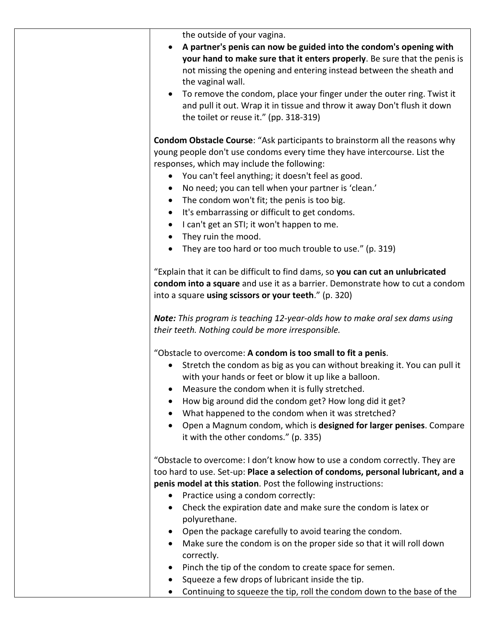| the outside of your vagina.                                                                                                                                     |
|-----------------------------------------------------------------------------------------------------------------------------------------------------------------|
| A partner's penis can now be guided into the condom's opening with<br>$\bullet$                                                                                 |
| your hand to make sure that it enters properly. Be sure that the penis is                                                                                       |
| not missing the opening and entering instead between the sheath and                                                                                             |
| the vaginal wall.                                                                                                                                               |
| To remove the condom, place your finger under the outer ring. Twist it<br>$\bullet$                                                                             |
| and pull it out. Wrap it in tissue and throw it away Don't flush it down                                                                                        |
| the toilet or reuse it." (pp. 318-319)                                                                                                                          |
|                                                                                                                                                                 |
| <b>Condom Obstacle Course:</b> "Ask participants to brainstorm all the reasons why                                                                              |
| young people don't use condoms every time they have intercourse. List the                                                                                       |
| responses, which may include the following:                                                                                                                     |
| You can't feel anything; it doesn't feel as good.<br>$\bullet$                                                                                                  |
| No need; you can tell when your partner is 'clean.'<br>$\bullet$                                                                                                |
| The condom won't fit; the penis is too big.<br>$\bullet$                                                                                                        |
| It's embarrassing or difficult to get condoms.<br>$\bullet$                                                                                                     |
| I can't get an STI; it won't happen to me.<br>$\bullet$                                                                                                         |
| They ruin the mood.<br>$\bullet$                                                                                                                                |
| They are too hard or too much trouble to use." (p. 319)                                                                                                         |
|                                                                                                                                                                 |
| "Explain that it can be difficult to find dams, so you can cut an unlubricated                                                                                  |
| condom into a square and use it as a barrier. Demonstrate how to cut a condom                                                                                   |
| into a square using scissors or your teeth." (p. 320)                                                                                                           |
|                                                                                                                                                                 |
| Note: This program is teaching 12-year-olds how to make oral sex dams using                                                                                     |
| their teeth. Nothing could be more irresponsible.                                                                                                               |
|                                                                                                                                                                 |
| "Obstacle to overcome: A condom is too small to fit a penis.                                                                                                    |
| Stretch the condom as big as you can without breaking it. You can pull it                                                                                       |
| with your hands or feet or blow it up like a balloon.                                                                                                           |
| Measure the condom when it is fully stretched.                                                                                                                  |
| How big around did the condom get? How long did it get?                                                                                                         |
| What happened to the condom when it was stretched?                                                                                                              |
| ٠                                                                                                                                                               |
| Open a Magnum condom, which is designed for larger penises. Compare<br>$\bullet$                                                                                |
| it with the other condoms." (p. 335)                                                                                                                            |
|                                                                                                                                                                 |
| "Obstacle to overcome: I don't know how to use a condom correctly. They are<br>too hard to use. Set-up: Place a selection of condoms, personal lubricant, and a |
| penis model at this station. Post the following instructions:                                                                                                   |
|                                                                                                                                                                 |
| Practice using a condom correctly:                                                                                                                              |
| Check the expiration date and make sure the condom is latex or<br>$\bullet$                                                                                     |
| polyurethane.                                                                                                                                                   |
| Open the package carefully to avoid tearing the condom.                                                                                                         |
| Make sure the condom is on the proper side so that it will roll down<br>$\bullet$                                                                               |
| correctly.                                                                                                                                                      |
| Pinch the tip of the condom to create space for semen.<br>٠                                                                                                     |
| Squeeze a few drops of lubricant inside the tip.<br>$\bullet$                                                                                                   |
| Continuing to squeeze the tip, roll the condom down to the base of the<br>$\bullet$                                                                             |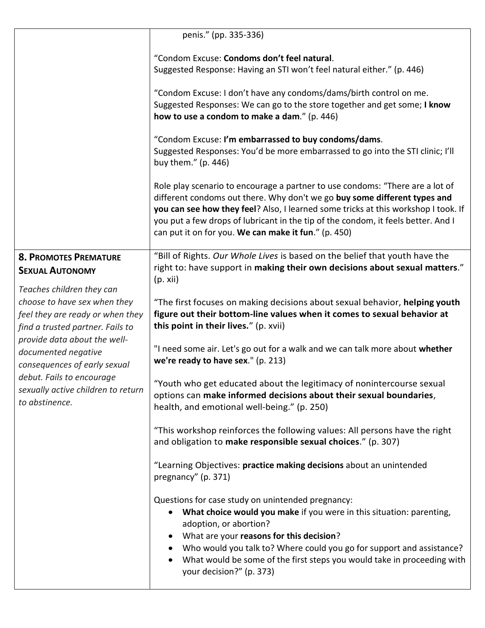| penis." (pp. 335-336)                                                                                                                                                                                                                                                                                                                                                                                     |
|-----------------------------------------------------------------------------------------------------------------------------------------------------------------------------------------------------------------------------------------------------------------------------------------------------------------------------------------------------------------------------------------------------------|
| "Condom Excuse: Condoms don't feel natural.<br>Suggested Response: Having an STI won't feel natural either." (p. 446)                                                                                                                                                                                                                                                                                     |
| "Condom Excuse: I don't have any condoms/dams/birth control on me.<br>Suggested Responses: We can go to the store together and get some; I know<br>how to use a condom to make a dam." (p. 446)                                                                                                                                                                                                           |
| "Condom Excuse: I'm embarrassed to buy condoms/dams.<br>Suggested Responses: You'd be more embarrassed to go into the STI clinic; I'll<br>buy them." (p. 446)                                                                                                                                                                                                                                             |
| Role play scenario to encourage a partner to use condoms: "There are a lot of<br>different condoms out there. Why don't we go buy some different types and<br>you can see how they feel? Also, I learned some tricks at this workshop I took. If<br>you put a few drops of lubricant in the tip of the condom, it feels better. And I<br>can put it on for you. We can make it fun." (p. 450)             |
| "Bill of Rights. Our Whole Lives is based on the belief that youth have the<br>right to: have support in making their own decisions about sexual matters."<br>(p. xii)                                                                                                                                                                                                                                    |
| "The first focuses on making decisions about sexual behavior, helping youth<br>figure out their bottom-line values when it comes to sexual behavior at<br>this point in their lives." (p. xvii)                                                                                                                                                                                                           |
| "I need some air. Let's go out for a walk and we can talk more about whether<br>we're ready to have sex." (p. 213)                                                                                                                                                                                                                                                                                        |
| "Youth who get educated about the legitimacy of nonintercourse sexual<br>options can make informed decisions about their sexual boundaries,<br>health, and emotional well-being." (p. 250)                                                                                                                                                                                                                |
| "This workshop reinforces the following values: All persons have the right<br>and obligation to make responsible sexual choices." (p. 307)                                                                                                                                                                                                                                                                |
| "Learning Objectives: practice making decisions about an unintended<br>pregnancy" (p. 371)                                                                                                                                                                                                                                                                                                                |
| Questions for case study on unintended pregnancy:<br>What choice would you make if you were in this situation: parenting,<br>adoption, or abortion?<br>What are your reasons for this decision?<br>$\bullet$<br>Who would you talk to? Where could you go for support and assistance?<br>$\bullet$<br>What would be some of the first steps you would take in proceeding with<br>your decision?" (p. 373) |
|                                                                                                                                                                                                                                                                                                                                                                                                           |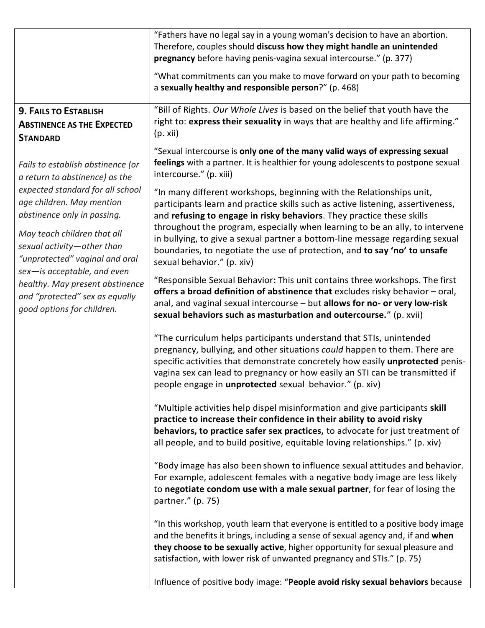|                                                                                                                                                                                                                                                                                                                                                                                                      | "Fathers have no legal say in a young woman's decision to have an abortion.<br>Therefore, couples should discuss how they might handle an unintended<br>pregnancy before having penis-vagina sexual intercourse." (p. 377)                                                                                                                                                                                                                                                                                  |
|------------------------------------------------------------------------------------------------------------------------------------------------------------------------------------------------------------------------------------------------------------------------------------------------------------------------------------------------------------------------------------------------------|-------------------------------------------------------------------------------------------------------------------------------------------------------------------------------------------------------------------------------------------------------------------------------------------------------------------------------------------------------------------------------------------------------------------------------------------------------------------------------------------------------------|
|                                                                                                                                                                                                                                                                                                                                                                                                      | "What commitments can you make to move forward on your path to becoming<br>a sexually healthy and responsible person?" (p. 468)                                                                                                                                                                                                                                                                                                                                                                             |
| <b>9. FAILS TO ESTABLISH</b><br><b>ABSTINENCE AS THE EXPECTED</b><br><b>STANDARD</b>                                                                                                                                                                                                                                                                                                                 | "Bill of Rights. Our Whole Lives is based on the belief that youth have the<br>right to: express their sexuality in ways that are healthy and life affirming."<br>(p. xii)                                                                                                                                                                                                                                                                                                                                  |
| Fails to establish abstinence (or<br>a return to abstinence) as the<br>expected standard for all school<br>age children. May mention<br>abstinence only in passing.<br>May teach children that all<br>sexual activity-other than<br>"unprotected" vaginal and oral<br>sex-is acceptable, and even<br>healthy. May present abstinence<br>and "protected" sex as equally<br>good options for children. | "Sexual intercourse is only one of the many valid ways of expressing sexual<br>feelings with a partner. It is healthier for young adolescents to postpone sexual<br>intercourse." (p. xiii)                                                                                                                                                                                                                                                                                                                 |
|                                                                                                                                                                                                                                                                                                                                                                                                      | "In many different workshops, beginning with the Relationships unit,<br>participants learn and practice skills such as active listening, assertiveness,<br>and refusing to engage in risky behaviors. They practice these skills<br>throughout the program, especially when learning to be an ally, to intervene<br>in bullying, to give a sexual partner a bottom-line message regarding sexual<br>boundaries, to negotiate the use of protection, and to say 'no' to unsafe<br>sexual behavior." (p. xiv) |
|                                                                                                                                                                                                                                                                                                                                                                                                      | "Responsible Sexual Behavior: This unit contains three workshops. The first<br>offers a broad definition of abstinence that excludes risky behavior - oral,<br>anal, and vaginal sexual intercourse - but allows for no- or very low-risk<br>sexual behaviors such as masturbation and outercourse." (p. xvii)                                                                                                                                                                                              |
|                                                                                                                                                                                                                                                                                                                                                                                                      | "The curriculum helps participants understand that STIs, unintended<br>pregnancy, bullying, and other situations could happen to them. There are<br>specific activities that demonstrate concretely how easily unprotected penis-<br>vagina sex can lead to pregnancy or how easily an STI can be transmitted if<br>people engage in <i>unprotected</i> sexual behavior." (p. xiv)                                                                                                                          |
|                                                                                                                                                                                                                                                                                                                                                                                                      | "Multiple activities help dispel misinformation and give participants skill<br>practice to increase their confidence in their ability to avoid risky<br>behaviors, to practice safer sex practices, to advocate for just treatment of<br>all people, and to build positive, equitable loving relationships." (p. xiv)                                                                                                                                                                                       |
|                                                                                                                                                                                                                                                                                                                                                                                                      | "Body image has also been shown to influence sexual attitudes and behavior.<br>For example, adolescent females with a negative body image are less likely<br>to negotiate condom use with a male sexual partner, for fear of losing the<br>partner." (p. 75)                                                                                                                                                                                                                                                |
|                                                                                                                                                                                                                                                                                                                                                                                                      | "In this workshop, youth learn that everyone is entitled to a positive body image<br>and the benefits it brings, including a sense of sexual agency and, if and when<br>they choose to be sexually active, higher opportunity for sexual pleasure and<br>satisfaction, with lower risk of unwanted pregnancy and STIs." (p. 75)                                                                                                                                                                             |
|                                                                                                                                                                                                                                                                                                                                                                                                      | Influence of positive body image: "People avoid risky sexual behaviors because                                                                                                                                                                                                                                                                                                                                                                                                                              |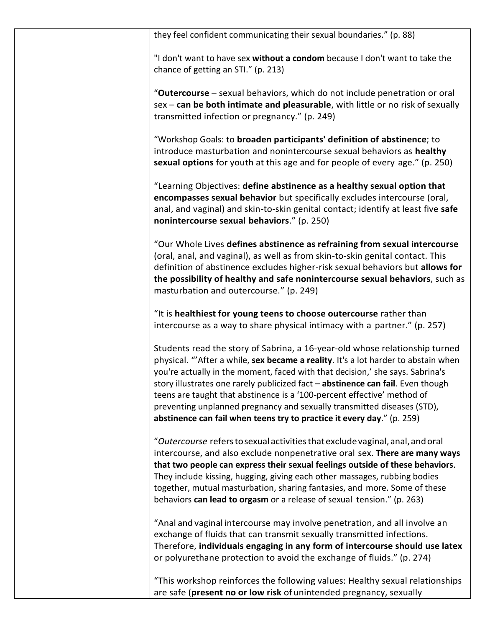| they feel confident communicating their sexual boundaries." (p. 88)                                                                                                                                                                                                                                                                                                                                                                                                                                                                                                   |
|-----------------------------------------------------------------------------------------------------------------------------------------------------------------------------------------------------------------------------------------------------------------------------------------------------------------------------------------------------------------------------------------------------------------------------------------------------------------------------------------------------------------------------------------------------------------------|
| "I don't want to have sex without a condom because I don't want to take the<br>chance of getting an STI." (p. 213)                                                                                                                                                                                                                                                                                                                                                                                                                                                    |
| "Outercourse - sexual behaviors, which do not include penetration or oral<br>sex - can be both intimate and pleasurable, with little or no risk of sexually<br>transmitted infection or pregnancy." (p. 249)                                                                                                                                                                                                                                                                                                                                                          |
| "Workshop Goals: to broaden participants' definition of abstinence; to<br>introduce masturbation and nonintercourse sexual behaviors as healthy<br>sexual options for youth at this age and for people of every age." (p. 250)                                                                                                                                                                                                                                                                                                                                        |
| "Learning Objectives: define abstinence as a healthy sexual option that<br>encompasses sexual behavior but specifically excludes intercourse (oral,<br>anal, and vaginal) and skin-to-skin genital contact; identify at least five safe<br>nonintercourse sexual behaviors." (p. 250)                                                                                                                                                                                                                                                                                 |
| "Our Whole Lives defines abstinence as refraining from sexual intercourse<br>(oral, anal, and vaginal), as well as from skin-to-skin genital contact. This<br>definition of abstinence excludes higher-risk sexual behaviors but allows for<br>the possibility of healthy and safe nonintercourse sexual behaviors, such as<br>masturbation and outercourse." (p. 249)                                                                                                                                                                                                |
| "It is healthiest for young teens to choose outercourse rather than<br>intercourse as a way to share physical intimacy with a partner." (p. 257)                                                                                                                                                                                                                                                                                                                                                                                                                      |
| Students read the story of Sabrina, a 16-year-old whose relationship turned<br>physical. "'After a while, sex became a reality. It's a lot harder to abstain when<br>you're actually in the moment, faced with that decision,' she says. Sabrina's<br>story illustrates one rarely publicized fact – abstinence can fail. Even though<br>teens are taught that abstinence is a '100-percent effective' method of<br>preventing unplanned pregnancy and sexually transmitted diseases (STD),<br>abstinence can fail when teens try to practice it every day." (p. 259) |
| "Outercourse refers to sexual activities that exclude vaginal, anal, and oral<br>intercourse, and also exclude nonpenetrative oral sex. There are many ways<br>that two people can express their sexual feelings outside of these behaviors.<br>They include kissing, hugging, giving each other massages, rubbing bodies<br>together, mutual masturbation, sharing fantasies, and more. Some of these<br>behaviors can lead to orgasm or a release of sexual tension." (p. 263)                                                                                      |
| "Anal and vaginal intercourse may involve penetration, and all involve an<br>exchange of fluids that can transmit sexually transmitted infections.<br>Therefore, individuals engaging in any form of intercourse should use latex<br>or polyurethane protection to avoid the exchange of fluids." (p. 274)                                                                                                                                                                                                                                                            |
| "This workshop reinforces the following values: Healthy sexual relationships<br>are safe (present no or low risk of unintended pregnancy, sexually                                                                                                                                                                                                                                                                                                                                                                                                                    |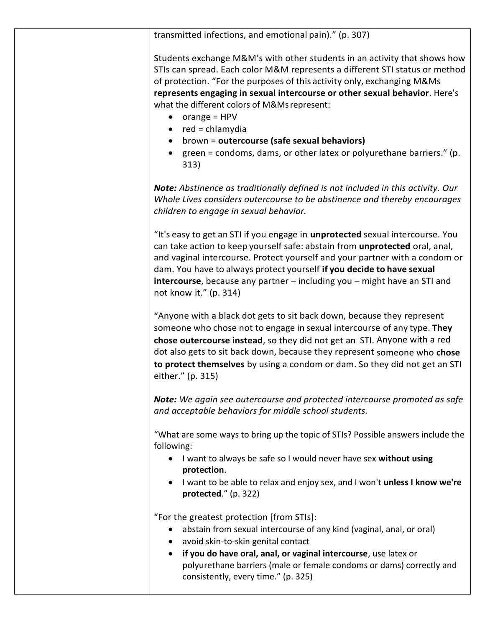| transmitted infections, and emotional pain)." (p. 307)                                                                                                                                                                                                                                                                                                                                                                                                                                                                                                       |
|--------------------------------------------------------------------------------------------------------------------------------------------------------------------------------------------------------------------------------------------------------------------------------------------------------------------------------------------------------------------------------------------------------------------------------------------------------------------------------------------------------------------------------------------------------------|
| Students exchange M&M's with other students in an activity that shows how<br>STIs can spread. Each color M&M represents a different STI status or method<br>of protection. "For the purposes of this activity only, exchanging M&Ms<br>represents engaging in sexual intercourse or other sexual behavior. Here's<br>what the different colors of M&Ms represent:<br>orange = HPV<br>$\bullet$<br>$\bullet$ red = chlamydia<br>• brown = outercourse (safe sexual behaviors)<br>green = condoms, dams, or other latex or polyurethane barriers." (p.<br>313) |
| Note: Abstinence as traditionally defined is not included in this activity. Our<br>Whole Lives considers outercourse to be abstinence and thereby encourages<br>children to engage in sexual behavior.                                                                                                                                                                                                                                                                                                                                                       |
| "It's easy to get an STI if you engage in unprotected sexual intercourse. You<br>can take action to keep yourself safe: abstain from unprotected oral, anal,<br>and vaginal intercourse. Protect yourself and your partner with a condom or<br>dam. You have to always protect yourself if you decide to have sexual<br>intercourse, because any partner - including you - might have an STI and<br>not know it." (p. 314)                                                                                                                                   |
| "Anyone with a black dot gets to sit back down, because they represent<br>someone who chose not to engage in sexual intercourse of any type. They<br>chose outercourse instead, so they did not get an STI. Anyone with a red<br>dot also gets to sit back down, because they represent someone who chose<br>to protect themselves by using a condom or dam. So they did not get an STI<br>either." (p. 315)                                                                                                                                                 |
| Note: We again see outercourse and protected intercourse promoted as safe<br>and acceptable behaviors for middle school students.                                                                                                                                                                                                                                                                                                                                                                                                                            |
| "What are some ways to bring up the topic of STIs? Possible answers include the<br>following:<br>I want to always be safe so I would never have sex without using<br>$\bullet$<br>protection.<br>I want to be able to relax and enjoy sex, and I won't unless I know we're<br>protected." $(p. 322)$                                                                                                                                                                                                                                                         |
| "For the greatest protection [from STIs]:<br>abstain from sexual intercourse of any kind (vaginal, anal, or oral)<br>$\bullet$<br>• avoid skin-to-skin genital contact<br>if you do have oral, anal, or vaginal intercourse, use latex or<br>polyurethane barriers (male or female condoms or dams) correctly and<br>consistently, every time." (p. 325)                                                                                                                                                                                                     |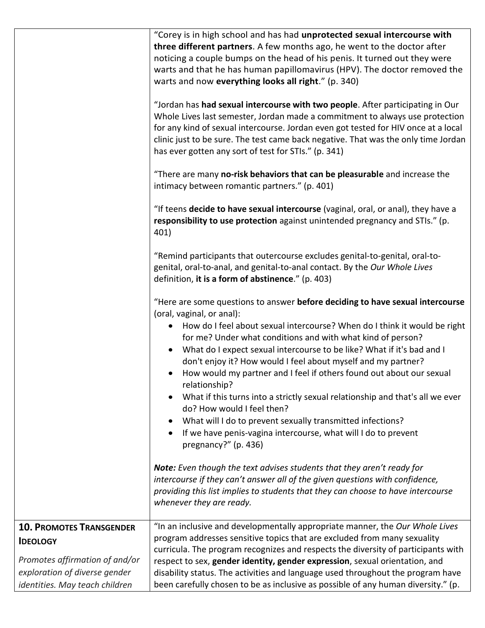|                                                                                                                                                         | "Corey is in high school and has had unprotected sexual intercourse with<br>three different partners. A few months ago, he went to the doctor after<br>noticing a couple bumps on the head of his penis. It turned out they were<br>warts and that he has human papillomavirus (HPV). The doctor removed the<br>warts and now everything looks all right." (p. 340)<br>"Jordan has had sexual intercourse with two people. After participating in Our<br>Whole Lives last semester, Jordan made a commitment to always use protection<br>for any kind of sexual intercourse. Jordan even got tested for HIV once at a local<br>clinic just to be sure. The test came back negative. That was the only time Jordan<br>has ever gotten any sort of test for STIs." (p. 341)<br>"There are many no-risk behaviors that can be pleasurable and increase the<br>intimacy between romantic partners." (p. 401)<br>"If teens decide to have sexual intercourse (vaginal, oral, or anal), they have a<br>responsibility to use protection against unintended pregnancy and STIs." (p.<br>401)<br>"Remind participants that outercourse excludes genital-to-genital, oral-to-<br>genital, oral-to-anal, and genital-to-anal contact. By the Our Whole Lives<br>definition, it is a form of abstinence." (p. 403)<br>"Here are some questions to answer before deciding to have sexual intercourse<br>(oral, vaginal, or anal):<br>How do I feel about sexual intercourse? When do I think it would be right<br>$\bullet$<br>for me? Under what conditions and with what kind of person?<br>What do I expect sexual intercourse to be like? What if it's bad and I<br>$\bullet$<br>don't enjoy it? How would I feel about myself and my partner?<br>How would my partner and I feel if others found out about our sexual<br>relationship?<br>What if this turns into a strictly sexual relationship and that's all we ever<br>$\bullet$<br>do? How would I feel then?<br>What will I do to prevent sexually transmitted infections?<br>If we have penis-vagina intercourse, what will I do to prevent<br>$\bullet$<br>pregnancy?" (p. 436)<br>Note: Even though the text advises students that they aren't ready for<br>intercourse if they can't answer all of the given questions with confidence,<br>providing this list implies to students that they can choose to have intercourse<br>whenever they are ready. |
|---------------------------------------------------------------------------------------------------------------------------------------------------------|------------------------------------------------------------------------------------------------------------------------------------------------------------------------------------------------------------------------------------------------------------------------------------------------------------------------------------------------------------------------------------------------------------------------------------------------------------------------------------------------------------------------------------------------------------------------------------------------------------------------------------------------------------------------------------------------------------------------------------------------------------------------------------------------------------------------------------------------------------------------------------------------------------------------------------------------------------------------------------------------------------------------------------------------------------------------------------------------------------------------------------------------------------------------------------------------------------------------------------------------------------------------------------------------------------------------------------------------------------------------------------------------------------------------------------------------------------------------------------------------------------------------------------------------------------------------------------------------------------------------------------------------------------------------------------------------------------------------------------------------------------------------------------------------------------------------------------------------------------------------------------------------------------------------------------------------------------------------------------------------------------------------------------------------------------------------------------------------------------------------------------------------------------------------------------------------------------------------------------------------------------------------------------------------------------------------------------------------------------------------------------------------------------|
| <b>10. PROMOTES TRANSGENDER</b><br><b>IDEOLOGY</b><br>Promotes affirmation of and/or<br>exploration of diverse gender<br>identities. May teach children | "In an inclusive and developmentally appropriate manner, the Our Whole Lives<br>program addresses sensitive topics that are excluded from many sexuality<br>curricula. The program recognizes and respects the diversity of participants with<br>respect to sex, gender identity, gender expression, sexual orientation, and<br>disability status. The activities and language used throughout the program have<br>been carefully chosen to be as inclusive as possible of any human diversity." (p.                                                                                                                                                                                                                                                                                                                                                                                                                                                                                                                                                                                                                                                                                                                                                                                                                                                                                                                                                                                                                                                                                                                                                                                                                                                                                                                                                                                                                                                                                                                                                                                                                                                                                                                                                                                                                                                                                                       |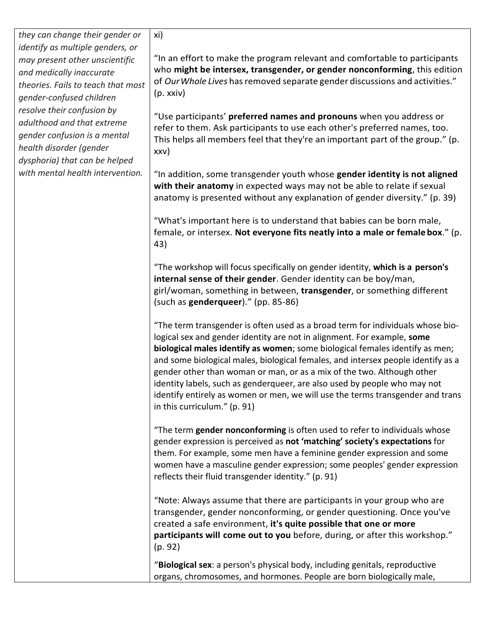*they can change their gender or identify as multiple genders, or may present other unscientific and medically inaccurate theories. Fails to teach that most gender-confused children resolve their confusion by adulthood and that extreme gender confusion is a mental health disorder (gender dysphoria) that can be helped with mental health intervention.*

xi)

"In an effort to make the program relevant and comfortable to participants who **might be intersex, transgender, or gender nonconforming**, this edition of *OurWhole Lives* hasremoved separate gender discussions and activities." (p. xxiv)

"Use participants' **preferred names and pronouns** when you address or refer to them. Ask participants to use each other's preferred names, too. This helps all members feel that they're an important part of the group." (p. xxv)

"In addition, some transgender youth whose **gender identity is not aligned with their anatomy** in expected ways may not be able to relate if sexual anatomy is presented without any explanation of gender diversity." (p. 39)

"What's important here is to understand that babies can be born male, female, or intersex. **Not everyone fits neatly into a male or female box**." (p. 43)

"The workshop will focus specifically on gender identity, **which is a person's internal sense of their gender**. Gender identity can be boy/man, girl/woman, something in between, **transgender**, or something different (such as **genderqueer**)." (pp. 85-86)

"The term transgender is often used as a broad term for individuals whose biological sex and gender identity are not in alignment. For example, **some biological males identify as women**; some biological females identify as men; and some biological males, biological females, and intersex people identify as a gender other than woman or man, or as a mix of the two. Although other identity labels, such as genderqueer, are also used by people who may not identify entirely as women or men, we will use the terms transgender and trans in this curriculum." (p. 91)

"The term **gender nonconforming** is often used to refer to individuals whose gender expression is perceived as **not 'matching' society's expectations** for them. For example, some men have a feminine gender expression and some women have a masculine gender expression; some peoples' gender expression reflects their fluid transgender identity." (p. 91)

"Note: Always assume that there are participants in your group who are transgender, gender nonconforming, or gender questioning. Once you've created a safe environment, **it's quite possible that one or more participants will come out to you** before, during, or after this workshop." (p. 92)

"**Biological sex**: a person's physical body, including genitals, reproductive organs, chromosomes, and hormones. People are born biologically male,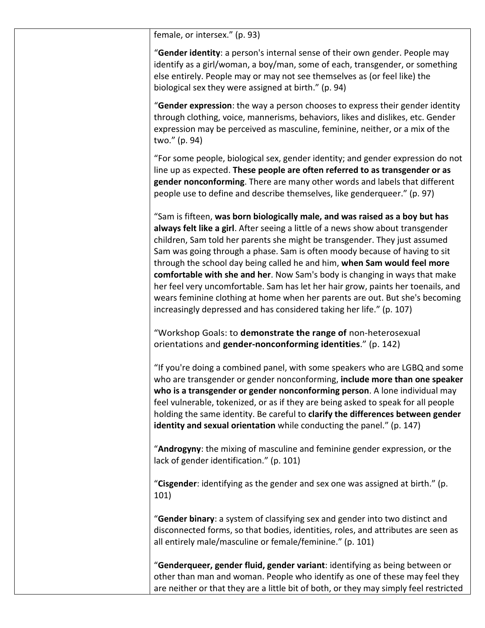| female, or intersex." (p. 93)                                                                                                                                                                                                                                                                                                                                                                                                                                                                                                                                                                                                                                                                                                     |
|-----------------------------------------------------------------------------------------------------------------------------------------------------------------------------------------------------------------------------------------------------------------------------------------------------------------------------------------------------------------------------------------------------------------------------------------------------------------------------------------------------------------------------------------------------------------------------------------------------------------------------------------------------------------------------------------------------------------------------------|
| "Gender identity: a person's internal sense of their own gender. People may<br>identify as a girl/woman, a boy/man, some of each, transgender, or something<br>else entirely. People may or may not see themselves as (or feel like) the<br>biological sex they were assigned at birth." (p. 94)                                                                                                                                                                                                                                                                                                                                                                                                                                  |
| "Gender expression: the way a person chooses to express their gender identity<br>through clothing, voice, mannerisms, behaviors, likes and dislikes, etc. Gender<br>expression may be perceived as masculine, feminine, neither, or a mix of the<br>two." (p. 94)                                                                                                                                                                                                                                                                                                                                                                                                                                                                 |
| "For some people, biological sex, gender identity; and gender expression do not<br>line up as expected. These people are often referred to as transgender or as<br>gender nonconforming. There are many other words and labels that different<br>people use to define and describe themselves, like genderqueer." (p. 97)                                                                                                                                                                                                                                                                                                                                                                                                         |
| "Sam is fifteen, was born biologically male, and was raised as a boy but has<br>always felt like a girl. After seeing a little of a news show about transgender<br>children, Sam told her parents she might be transgender. They just assumed<br>Sam was going through a phase. Sam is often moody because of having to sit<br>through the school day being called he and him, when Sam would feel more<br>comfortable with she and her. Now Sam's body is changing in ways that make<br>her feel very uncomfortable. Sam has let her hair grow, paints her toenails, and<br>wears feminine clothing at home when her parents are out. But she's becoming<br>increasingly depressed and has considered taking her life." (p. 107) |
| "Workshop Goals: to demonstrate the range of non-heterosexual<br>orientations and gender-nonconforming identities." (p. 142)                                                                                                                                                                                                                                                                                                                                                                                                                                                                                                                                                                                                      |
| "If you're doing a combined panel, with some speakers who are LGBQ and some<br>who are transgender or gender nonconforming, include more than one speaker<br>who is a transgender or gender nonconforming person. A lone individual may<br>feel vulnerable, tokenized, or as if they are being asked to speak for all people<br>holding the same identity. Be careful to clarify the differences between gender<br>identity and sexual orientation while conducting the panel." (p. 147)                                                                                                                                                                                                                                          |
| "Androgyny: the mixing of masculine and feminine gender expression, or the<br>lack of gender identification." (p. 101)                                                                                                                                                                                                                                                                                                                                                                                                                                                                                                                                                                                                            |
| "Cisgender: identifying as the gender and sex one was assigned at birth." (p.<br>101)                                                                                                                                                                                                                                                                                                                                                                                                                                                                                                                                                                                                                                             |
| "Gender binary: a system of classifying sex and gender into two distinct and<br>disconnected forms, so that bodies, identities, roles, and attributes are seen as<br>all entirely male/masculine or female/feminine." (p. 101)                                                                                                                                                                                                                                                                                                                                                                                                                                                                                                    |
| "Genderqueer, gender fluid, gender variant: identifying as being between or<br>other than man and woman. People who identify as one of these may feel they<br>are neither or that they are a little bit of both, or they may simply feel restricted                                                                                                                                                                                                                                                                                                                                                                                                                                                                               |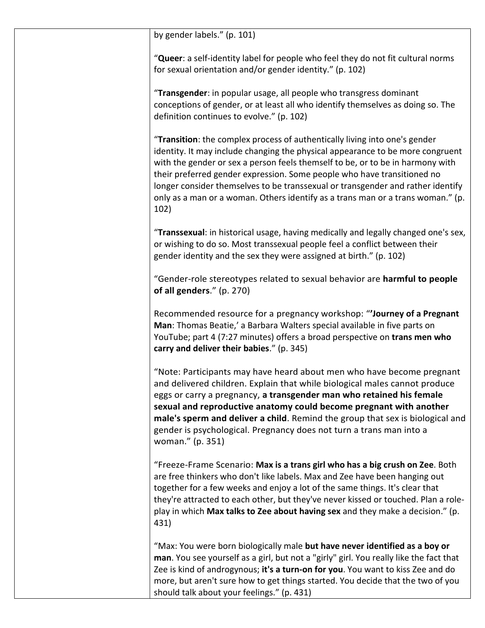| by gender labels." (p. 101)                                                                                                                                                                                                                                                                                                                                                                                                                                                                             |
|---------------------------------------------------------------------------------------------------------------------------------------------------------------------------------------------------------------------------------------------------------------------------------------------------------------------------------------------------------------------------------------------------------------------------------------------------------------------------------------------------------|
| "Queer: a self-identity label for people who feel they do not fit cultural norms<br>for sexual orientation and/or gender identity." (p. 102)                                                                                                                                                                                                                                                                                                                                                            |
| "Transgender: in popular usage, all people who transgress dominant<br>conceptions of gender, or at least all who identify themselves as doing so. The<br>definition continues to evolve." (p. 102)                                                                                                                                                                                                                                                                                                      |
| "Transition: the complex process of authentically living into one's gender<br>identity. It may include changing the physical appearance to be more congruent<br>with the gender or sex a person feels themself to be, or to be in harmony with<br>their preferred gender expression. Some people who have transitioned no<br>longer consider themselves to be transsexual or transgender and rather identify<br>only as a man or a woman. Others identify as a trans man or a trans woman." (p.<br>102) |
| "Transsexual: in historical usage, having medically and legally changed one's sex,<br>or wishing to do so. Most transsexual people feel a conflict between their<br>gender identity and the sex they were assigned at birth." (p. 102)                                                                                                                                                                                                                                                                  |
| "Gender-role stereotypes related to sexual behavior are harmful to people<br>of all genders." (p. 270)                                                                                                                                                                                                                                                                                                                                                                                                  |
| Recommended resource for a pregnancy workshop: "Journey of a Pregnant<br>Man: Thomas Beatie,' a Barbara Walters special available in five parts on<br>YouTube; part 4 (7:27 minutes) offers a broad perspective on trans men who<br>carry and deliver their babies." (p. 345)                                                                                                                                                                                                                           |
| "Note: Participants may have heard about men who have become pregnant<br>and delivered children. Explain that while biological males cannot produce<br>eggs or carry a pregnancy, a transgender man who retained his female<br>sexual and reproductive anatomy could become pregnant with another<br>male's sperm and deliver a child. Remind the group that sex is biological and<br>gender is psychological. Pregnancy does not turn a trans man into a<br>woman." (p. 351)                           |
| "Freeze-Frame Scenario: Max is a trans girl who has a big crush on Zee. Both<br>are free thinkers who don't like labels. Max and Zee have been hanging out<br>together for a few weeks and enjoy a lot of the same things. It's clear that<br>they're attracted to each other, but they've never kissed or touched. Plan a role-<br>play in which Max talks to Zee about having sex and they make a decision." (p.<br>431)                                                                              |
| "Max: You were born biologically male but have never identified as a boy or<br>man. You see yourself as a girl, but not a "girly" girl. You really like the fact that<br>Zee is kind of androgynous; it's a turn-on for you. You want to kiss Zee and do<br>more, but aren't sure how to get things started. You decide that the two of you<br>should talk about your feelings." (p. 431)                                                                                                               |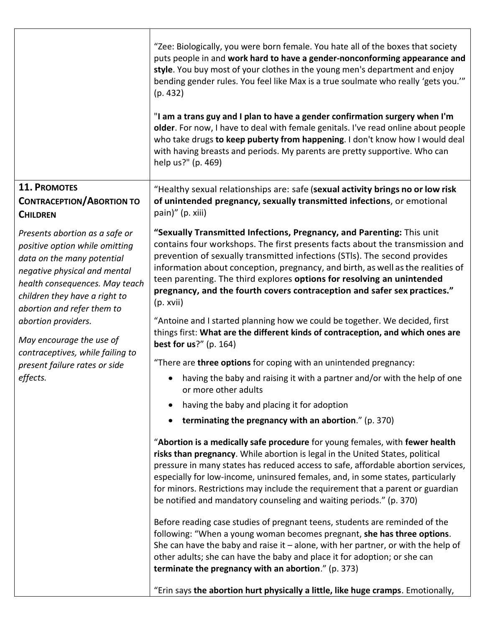|                                                                                                                                                                                                                                 | "Zee: Biologically, you were born female. You hate all of the boxes that society<br>puts people in and work hard to have a gender-nonconforming appearance and<br>style. You buy most of your clothes in the young men's department and enjoy<br>bending gender rules. You feel like Max is a true soulmate who really 'gets you."<br>(p. 432)<br>"I am a trans guy and I plan to have a gender confirmation surgery when I'm<br>older. For now, I have to deal with female genitals. I've read online about people<br>who take drugs to keep puberty from happening. I don't know how I would deal<br>with having breasts and periods. My parents are pretty supportive. Who can<br>help us?" (p. 469) |
|---------------------------------------------------------------------------------------------------------------------------------------------------------------------------------------------------------------------------------|---------------------------------------------------------------------------------------------------------------------------------------------------------------------------------------------------------------------------------------------------------------------------------------------------------------------------------------------------------------------------------------------------------------------------------------------------------------------------------------------------------------------------------------------------------------------------------------------------------------------------------------------------------------------------------------------------------|
| <b>11. PROMOTES</b><br><b>CONTRACEPTION/ABORTION TO</b><br><b>CHILDREN</b>                                                                                                                                                      | "Healthy sexual relationships are: safe (sexual activity brings no or low risk<br>of unintended pregnancy, sexually transmitted infections, or emotional<br>pain)" (p. xiii)                                                                                                                                                                                                                                                                                                                                                                                                                                                                                                                            |
| Presents abortion as a safe or<br>positive option while omitting<br>data on the many potential<br>negative physical and mental<br>health consequences. May teach<br>children they have a right to<br>abortion and refer them to | "Sexually Transmitted Infections, Pregnancy, and Parenting: This unit<br>contains four workshops. The first presents facts about the transmission and<br>prevention of sexually transmitted infections (STIs). The second provides<br>information about conception, pregnancy, and birth, as well as the realities of<br>teen parenting. The third explores options for resolving an unintended<br>pregnancy, and the fourth covers contraception and safer sex practices."<br>(p. xvii)                                                                                                                                                                                                                |
| abortion providers.<br>May encourage the use of                                                                                                                                                                                 | "Antoine and I started planning how we could be together. We decided, first<br>things first: What are the different kinds of contraception, and which ones are<br>best for us?" (p. 164)                                                                                                                                                                                                                                                                                                                                                                                                                                                                                                                |
| contraceptives, while failing to<br>present failure rates or side                                                                                                                                                               | "There are three options for coping with an unintended pregnancy:                                                                                                                                                                                                                                                                                                                                                                                                                                                                                                                                                                                                                                       |
| effects.                                                                                                                                                                                                                        | having the baby and raising it with a partner and/or with the help of one<br>$\bullet$<br>or more other adults                                                                                                                                                                                                                                                                                                                                                                                                                                                                                                                                                                                          |
|                                                                                                                                                                                                                                 | having the baby and placing it for adoption                                                                                                                                                                                                                                                                                                                                                                                                                                                                                                                                                                                                                                                             |
|                                                                                                                                                                                                                                 | terminating the pregnancy with an abortion." (p. 370)                                                                                                                                                                                                                                                                                                                                                                                                                                                                                                                                                                                                                                                   |
|                                                                                                                                                                                                                                 | "Abortion is a medically safe procedure for young females, with fewer health<br>risks than pregnancy. While abortion is legal in the United States, political<br>pressure in many states has reduced access to safe, affordable abortion services,<br>especially for low-income, uninsured females, and, in some states, particularly<br>for minors. Restrictions may include the requirement that a parent or guardian<br>be notified and mandatory counseling and waiting periods." (p. 370)                                                                                                                                                                                                          |
|                                                                                                                                                                                                                                 | Before reading case studies of pregnant teens, students are reminded of the<br>following: "When a young woman becomes pregnant, she has three options.<br>She can have the baby and raise it $-$ alone, with her partner, or with the help of<br>other adults; she can have the baby and place it for adoption; or she can<br>terminate the pregnancy with an abortion." (p. 373)                                                                                                                                                                                                                                                                                                                       |
|                                                                                                                                                                                                                                 | "Erin says the abortion hurt physically a little, like huge cramps. Emotionally,                                                                                                                                                                                                                                                                                                                                                                                                                                                                                                                                                                                                                        |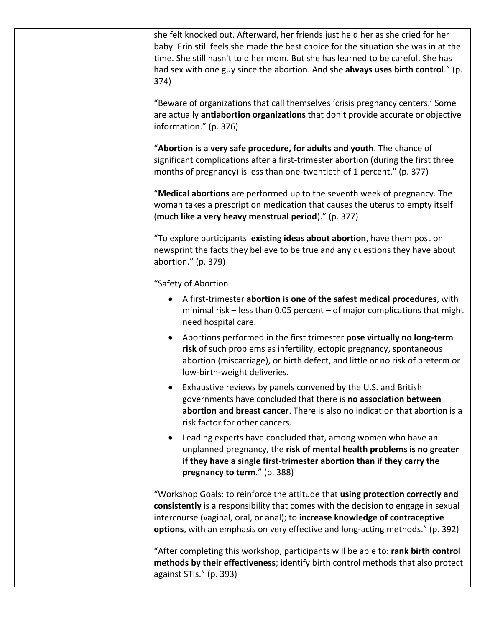| she felt knocked out. Afterward, her friends just held her as she cried for her<br>baby. Erin still feels she made the best choice for the situation she was in at the<br>time. She still hasn't told her mom. But she has learned to be careful. She has<br>had sex with one guy since the abortion. And she always uses birth control." (p.<br>374) |
|-------------------------------------------------------------------------------------------------------------------------------------------------------------------------------------------------------------------------------------------------------------------------------------------------------------------------------------------------------|
| "Beware of organizations that call themselves 'crisis pregnancy centers.' Some<br>are actually antiabortion organizations that don't provide accurate or objective<br>information." (p. 376)                                                                                                                                                          |
| "Abortion is a very safe procedure, for adults and youth. The chance of<br>significant complications after a first-trimester abortion (during the first three<br>months of pregnancy) is less than one-twentieth of 1 percent." (p. 377)                                                                                                              |
| "Medical abortions are performed up to the seventh week of pregnancy. The<br>woman takes a prescription medication that causes the uterus to empty itself<br>(much like a very heavy menstrual period)." (p. 377)                                                                                                                                     |
| "To explore participants' existing ideas about abortion, have them post on<br>newsprint the facts they believe to be true and any questions they have about<br>abortion." (p. 379)                                                                                                                                                                    |
| "Safety of Abortion                                                                                                                                                                                                                                                                                                                                   |
| A first-trimester abortion is one of the safest medical procedures, with<br>$\bullet$<br>minimal risk $-$ less than 0.05 percent $-$ of major complications that might<br>need hospital care.                                                                                                                                                         |
| Abortions performed in the first trimester pose virtually no long-term<br>$\bullet$<br>risk of such problems as infertility, ectopic pregnancy, spontaneous<br>abortion (miscarriage), or birth defect, and little or no risk of preterm or<br>low-birth-weight deliveries.                                                                           |
| Exhaustive reviews by panels convened by the U.S. and British<br>governments have concluded that there is no association between<br>abortion and breast cancer. There is also no indication that abortion is a<br>risk factor for other cancers.                                                                                                      |
| Leading experts have concluded that, among women who have an<br>$\bullet$<br>unplanned pregnancy, the risk of mental health problems is no greater<br>if they have a single first-trimester abortion than if they carry the<br>pregnancy to term." (p. 388)                                                                                           |
| "Workshop Goals: to reinforce the attitude that using protection correctly and<br>consistently is a responsibility that comes with the decision to engage in sexual<br>intercourse (vaginal, oral, or anal); to increase knowledge of contraceptive<br>options, with an emphasis on very effective and long-acting methods." (p. 392)                 |
| "After completing this workshop, participants will be able to: rank birth control<br>methods by their effectiveness; identify birth control methods that also protect<br>against STIs." (p. 393)                                                                                                                                                      |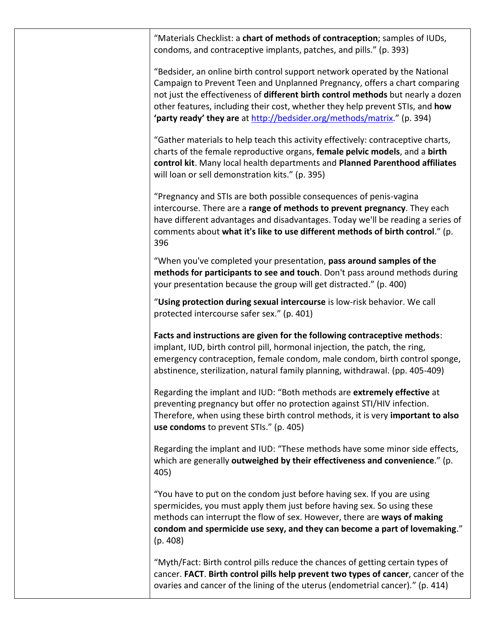| "Materials Checklist: a chart of methods of contraception; samples of IUDs,<br>condoms, and contraceptive implants, patches, and pills." (p. 393)                                                                                                                                                                                                                                                         |
|-----------------------------------------------------------------------------------------------------------------------------------------------------------------------------------------------------------------------------------------------------------------------------------------------------------------------------------------------------------------------------------------------------------|
| "Bedsider, an online birth control support network operated by the National<br>Campaign to Prevent Teen and Unplanned Pregnancy, offers a chart comparing<br>not just the effectiveness of different birth control methods but nearly a dozen<br>other features, including their cost, whether they help prevent STIs, and how<br>'party ready' they are at http://bedsider.org/methods/matrix." (p. 394) |
| "Gather materials to help teach this activity effectively: contraceptive charts,<br>charts of the female reproductive organs, female pelvic models, and a birth<br>control kit. Many local health departments and Planned Parenthood affiliates<br>will loan or sell demonstration kits." (p. 395)                                                                                                        |
| "Pregnancy and STIs are both possible consequences of penis-vagina<br>intercourse. There are a range of methods to prevent pregnancy. They each<br>have different advantages and disadvantages. Today we'll be reading a series of<br>comments about what it's like to use different methods of birth control." (p.<br>396                                                                                |
| "When you've completed your presentation, pass around samples of the<br>methods for participants to see and touch. Don't pass around methods during<br>your presentation because the group will get distracted." (p. 400)                                                                                                                                                                                 |
| "Using protection during sexual intercourse is low-risk behavior. We call<br>protected intercourse safer sex." (p. 401)                                                                                                                                                                                                                                                                                   |
| Facts and instructions are given for the following contraceptive methods:<br>implant, IUD, birth control pill, hormonal injection, the patch, the ring,<br>emergency contraception, female condom, male condom, birth control sponge,<br>abstinence, sterilization, natural family planning, withdrawal. (pp. 405-409)                                                                                    |
| Regarding the implant and IUD: "Both methods are extremely effective at<br>preventing pregnancy but offer no protection against STI/HIV infection.<br>Therefore, when using these birth control methods, it is very important to also<br>use condoms to prevent STIs." (p. 405)                                                                                                                           |
| Regarding the implant and IUD: "These methods have some minor side effects,<br>which are generally outweighed by their effectiveness and convenience." (p.<br>405)                                                                                                                                                                                                                                        |
| "You have to put on the condom just before having sex. If you are using<br>spermicides, you must apply them just before having sex. So using these<br>methods can interrupt the flow of sex. However, there are ways of making<br>condom and spermicide use sexy, and they can become a part of lovemaking."<br>(p. 408)                                                                                  |
| "Myth/Fact: Birth control pills reduce the chances of getting certain types of<br>cancer. FACT. Birth control pills help prevent two types of cancer, cancer of the<br>ovaries and cancer of the lining of the uterus (endometrial cancer)." (p. 414)                                                                                                                                                     |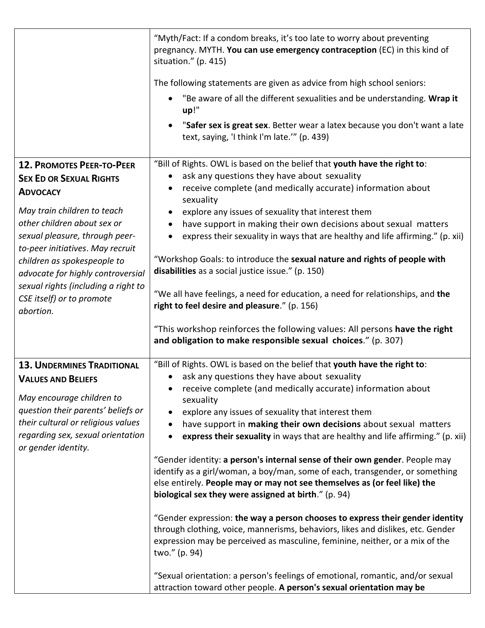|                                                                                                                                                                                                                                                                                                                                                                                | "Myth/Fact: If a condom breaks, it's too late to worry about preventing<br>pregnancy. MYTH. You can use emergency contraception (EC) in this kind of<br>situation." (p. 415)<br>The following statements are given as advice from high school seniors:<br>"Be aware of all the different sexualities and be understanding. Wrap it<br>up!"<br>"Safer sex is great sex. Better wear a latex because you don't want a late<br>$\bullet$<br>text, saying, 'I think I'm late."" (p. 439)                                                                                                                                                                                                                                                                                                                                                                                                                                                                                                                                                                                                                                                                                 |
|--------------------------------------------------------------------------------------------------------------------------------------------------------------------------------------------------------------------------------------------------------------------------------------------------------------------------------------------------------------------------------|----------------------------------------------------------------------------------------------------------------------------------------------------------------------------------------------------------------------------------------------------------------------------------------------------------------------------------------------------------------------------------------------------------------------------------------------------------------------------------------------------------------------------------------------------------------------------------------------------------------------------------------------------------------------------------------------------------------------------------------------------------------------------------------------------------------------------------------------------------------------------------------------------------------------------------------------------------------------------------------------------------------------------------------------------------------------------------------------------------------------------------------------------------------------|
| <b>12. PROMOTES PEER-TO-PEER</b><br><b>SEX ED OR SEXUAL RIGHTS</b><br><b>ADVOCACY</b><br>May train children to teach<br>other children about sex or<br>sexual pleasure, through peer-<br>to-peer initiatives. May recruit<br>children as spokespeople to<br>advocate for highly controversial<br>sexual rights (including a right to<br>CSE itself) or to promote<br>abortion. | "Bill of Rights. OWL is based on the belief that youth have the right to:<br>ask any questions they have about sexuality<br>receive complete (and medically accurate) information about<br>$\bullet$<br>sexuality<br>explore any issues of sexuality that interest them<br>have support in making their own decisions about sexual matters<br>$\bullet$<br>express their sexuality in ways that are healthy and life affirming." (p. xii)<br>"Workshop Goals: to introduce the sexual nature and rights of people with<br>disabilities as a social justice issue." (p. 150)<br>"We all have feelings, a need for education, a need for relationships, and the<br>right to feel desire and pleasure." (p. 156)<br>"This workshop reinforces the following values: All persons have the right<br>and obligation to make responsible sexual choices." (p. 307)                                                                                                                                                                                                                                                                                                          |
| <b>13. UNDERMINES TRADITIONAL</b><br><b>VALUES AND BELIEFS</b><br>May encourage children to<br>question their parents' beliefs or<br>their cultural or religious values<br>regarding sex, sexual orientation<br>or gender identity.                                                                                                                                            | "Bill of Rights. OWL is based on the belief that youth have the right to:<br>ask any questions they have about sexuality<br>receive complete (and medically accurate) information about<br>sexuality<br>explore any issues of sexuality that interest them<br>$\bullet$<br>have support in making their own decisions about sexual matters<br>express their sexuality in ways that are healthy and life affirming." (p. xii)<br>٠<br>"Gender identity: a person's internal sense of their own gender. People may<br>identify as a girl/woman, a boy/man, some of each, transgender, or something<br>else entirely. People may or may not see themselves as (or feel like) the<br>biological sex they were assigned at birth." (p. 94)<br>"Gender expression: the way a person chooses to express their gender identity<br>through clothing, voice, mannerisms, behaviors, likes and dislikes, etc. Gender<br>expression may be perceived as masculine, feminine, neither, or a mix of the<br>two." (p. 94)<br>"Sexual orientation: a person's feelings of emotional, romantic, and/or sexual<br>attraction toward other people. A person's sexual orientation may be |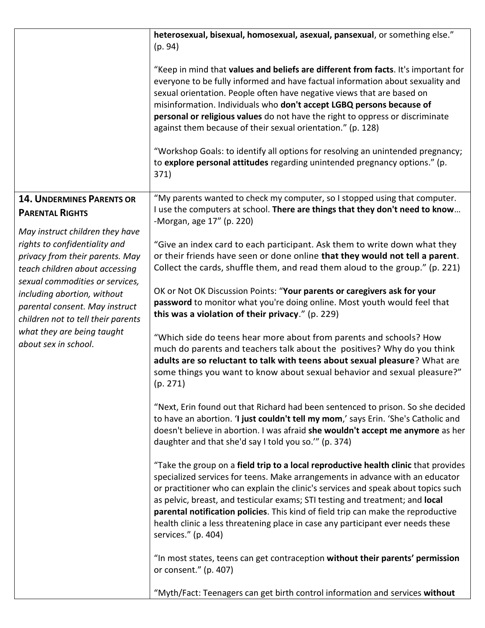|                                                                                                                                                                                                                                              | heterosexual, bisexual, homosexual, asexual, pansexual, or something else."<br>(p. 94)                                                                                                                                                                                                                                                                                                                                                                                                                                                    |
|----------------------------------------------------------------------------------------------------------------------------------------------------------------------------------------------------------------------------------------------|-------------------------------------------------------------------------------------------------------------------------------------------------------------------------------------------------------------------------------------------------------------------------------------------------------------------------------------------------------------------------------------------------------------------------------------------------------------------------------------------------------------------------------------------|
|                                                                                                                                                                                                                                              | "Keep in mind that values and beliefs are different from facts. It's important for<br>everyone to be fully informed and have factual information about sexuality and<br>sexual orientation. People often have negative views that are based on<br>misinformation. Individuals who don't accept LGBQ persons because of<br>personal or religious values do not have the right to oppress or discriminate<br>against them because of their sexual orientation." (p. 128)                                                                    |
|                                                                                                                                                                                                                                              | "Workshop Goals: to identify all options for resolving an unintended pregnancy;<br>to explore personal attitudes regarding unintended pregnancy options." (p.<br>371)                                                                                                                                                                                                                                                                                                                                                                     |
| <b>14. UNDERMINES PARENTS OR</b><br><b>PARENTAL RIGHTS</b><br>May instruct children they have                                                                                                                                                | "My parents wanted to check my computer, so I stopped using that computer.<br>I use the computers at school. There are things that they don't need to know<br>-Morgan, age 17" (p. 220)                                                                                                                                                                                                                                                                                                                                                   |
| rights to confidentiality and<br>privacy from their parents. May<br>teach children about accessing<br>sexual commodities or services,<br>including abortion, without<br>parental consent. May instruct<br>children not to tell their parents | "Give an index card to each participant. Ask them to write down what they<br>or their friends have seen or done online that they would not tell a parent.<br>Collect the cards, shuffle them, and read them aloud to the group." (p. 221)                                                                                                                                                                                                                                                                                                 |
|                                                                                                                                                                                                                                              | OK or Not OK Discussion Points: "Your parents or caregivers ask for your<br>password to monitor what you're doing online. Most youth would feel that<br>this was a violation of their privacy." (p. 229)                                                                                                                                                                                                                                                                                                                                  |
| what they are being taught<br>about sex in school.                                                                                                                                                                                           | "Which side do teens hear more about from parents and schools? How<br>much do parents and teachers talk about the positives? Why do you think<br>adults are so reluctant to talk with teens about sexual pleasure? What are<br>some things you want to know about sexual behavior and sexual pleasure?"<br>(p. 271)                                                                                                                                                                                                                       |
|                                                                                                                                                                                                                                              | "Next, Erin found out that Richard had been sentenced to prison. So she decided<br>to have an abortion. 'I just couldn't tell my mom,' says Erin. 'She's Catholic and<br>doesn't believe in abortion. I was afraid she wouldn't accept me anymore as her<br>daughter and that she'd say I told you so."" (p. 374)                                                                                                                                                                                                                         |
|                                                                                                                                                                                                                                              | "Take the group on a field trip to a local reproductive health clinic that provides<br>specialized services for teens. Make arrangements in advance with an educator<br>or practitioner who can explain the clinic's services and speak about topics such<br>as pelvic, breast, and testicular exams; STI testing and treatment; and local<br>parental notification policies. This kind of field trip can make the reproductive<br>health clinic a less threatening place in case any participant ever needs these<br>services." (p. 404) |
|                                                                                                                                                                                                                                              | "In most states, teens can get contraception without their parents' permission<br>or consent." (p. 407)                                                                                                                                                                                                                                                                                                                                                                                                                                   |
|                                                                                                                                                                                                                                              | "Myth/Fact: Teenagers can get birth control information and services without                                                                                                                                                                                                                                                                                                                                                                                                                                                              |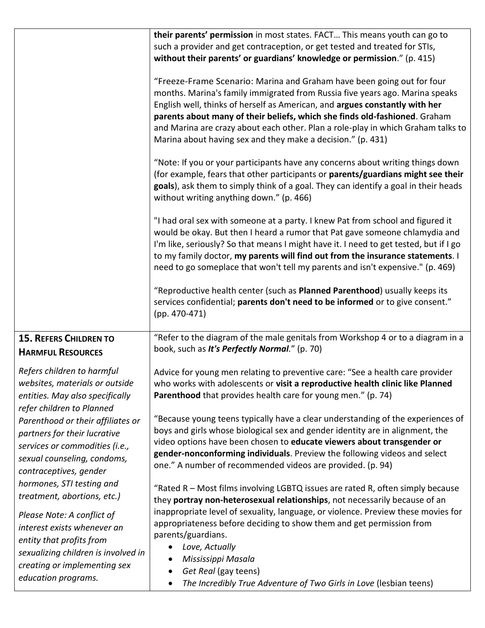|                                                                                                                              | their parents' permission in most states. FACT This means youth can go to<br>such a provider and get contraception, or get tested and treated for STIs,<br>without their parents' or guardians' knowledge or permission." (p. 415)<br>"Freeze-Frame Scenario: Marina and Graham have been going out for four<br>months. Marina's family immigrated from Russia five years ago. Marina speaks<br>English well, thinks of herself as American, and argues constantly with her<br>parents about many of their beliefs, which she finds old-fashioned. Graham<br>and Marina are crazy about each other. Plan a role-play in which Graham talks to<br>Marina about having sex and they make a decision." (p. 431)<br>"Note: If you or your participants have any concerns about writing things down<br>(for example, fears that other participants or parents/guardians might see their<br>goals), ask them to simply think of a goal. They can identify a goal in their heads<br>without writing anything down." (p. 466)<br>"I had oral sex with someone at a party. I knew Pat from school and figured it<br>would be okay. But then I heard a rumor that Pat gave someone chlamydia and<br>I'm like, seriously? So that means I might have it. I need to get tested, but if I go<br>to my family doctor, my parents will find out from the insurance statements. I<br>need to go someplace that won't tell my parents and isn't expensive." (p. 469)<br>"Reproductive health center (such as Planned Parenthood) usually keeps its<br>services confidential; parents don't need to be informed or to give consent."<br>$(pp. 470-471)$ |
|------------------------------------------------------------------------------------------------------------------------------|---------------------------------------------------------------------------------------------------------------------------------------------------------------------------------------------------------------------------------------------------------------------------------------------------------------------------------------------------------------------------------------------------------------------------------------------------------------------------------------------------------------------------------------------------------------------------------------------------------------------------------------------------------------------------------------------------------------------------------------------------------------------------------------------------------------------------------------------------------------------------------------------------------------------------------------------------------------------------------------------------------------------------------------------------------------------------------------------------------------------------------------------------------------------------------------------------------------------------------------------------------------------------------------------------------------------------------------------------------------------------------------------------------------------------------------------------------------------------------------------------------------------------------------------------------------------------------------------------------------------------------------|
| <b>15. REFERS CHILDREN TO</b>                                                                                                | "Refer to the diagram of the male genitals from Workshop 4 or to a diagram in a                                                                                                                                                                                                                                                                                                                                                                                                                                                                                                                                                                                                                                                                                                                                                                                                                                                                                                                                                                                                                                                                                                                                                                                                                                                                                                                                                                                                                                                                                                                                                       |
| <b>HARMFUL RESOURCES</b>                                                                                                     | book, such as It's Perfectly Normal." (p. 70)                                                                                                                                                                                                                                                                                                                                                                                                                                                                                                                                                                                                                                                                                                                                                                                                                                                                                                                                                                                                                                                                                                                                                                                                                                                                                                                                                                                                                                                                                                                                                                                         |
| Refers children to harmful<br>websites, materials or outside<br>entities. May also specifically<br>refer children to Planned | Advice for young men relating to preventive care: "See a health care provider<br>who works with adolescents or visit a reproductive health clinic like Planned<br>Parenthood that provides health care for young men." (p. 74)                                                                                                                                                                                                                                                                                                                                                                                                                                                                                                                                                                                                                                                                                                                                                                                                                                                                                                                                                                                                                                                                                                                                                                                                                                                                                                                                                                                                        |
| Parenthood or their affiliates or                                                                                            | "Because young teens typically have a clear understanding of the experiences of                                                                                                                                                                                                                                                                                                                                                                                                                                                                                                                                                                                                                                                                                                                                                                                                                                                                                                                                                                                                                                                                                                                                                                                                                                                                                                                                                                                                                                                                                                                                                       |
| partners for their lucrative                                                                                                 | boys and girls whose biological sex and gender identity are in alignment, the                                                                                                                                                                                                                                                                                                                                                                                                                                                                                                                                                                                                                                                                                                                                                                                                                                                                                                                                                                                                                                                                                                                                                                                                                                                                                                                                                                                                                                                                                                                                                         |
| services or commodities (i.e.,                                                                                               | video options have been chosen to educate viewers about transgender or                                                                                                                                                                                                                                                                                                                                                                                                                                                                                                                                                                                                                                                                                                                                                                                                                                                                                                                                                                                                                                                                                                                                                                                                                                                                                                                                                                                                                                                                                                                                                                |
| sexual counseling, condoms,                                                                                                  | gender-nonconforming individuals. Preview the following videos and select                                                                                                                                                                                                                                                                                                                                                                                                                                                                                                                                                                                                                                                                                                                                                                                                                                                                                                                                                                                                                                                                                                                                                                                                                                                                                                                                                                                                                                                                                                                                                             |
| contraceptives, gender                                                                                                       | one." A number of recommended videos are provided. (p. 94)                                                                                                                                                                                                                                                                                                                                                                                                                                                                                                                                                                                                                                                                                                                                                                                                                                                                                                                                                                                                                                                                                                                                                                                                                                                                                                                                                                                                                                                                                                                                                                            |
| hormones, STI testing and                                                                                                    | "Rated R - Most films involving LGBTQ issues are rated R, often simply because                                                                                                                                                                                                                                                                                                                                                                                                                                                                                                                                                                                                                                                                                                                                                                                                                                                                                                                                                                                                                                                                                                                                                                                                                                                                                                                                                                                                                                                                                                                                                        |
| treatment, abortions, etc.)                                                                                                  | they portray non-heterosexual relationships, not necessarily because of an                                                                                                                                                                                                                                                                                                                                                                                                                                                                                                                                                                                                                                                                                                                                                                                                                                                                                                                                                                                                                                                                                                                                                                                                                                                                                                                                                                                                                                                                                                                                                            |
| Please Note: A conflict of                                                                                                   | inappropriate level of sexuality, language, or violence. Preview these movies for                                                                                                                                                                                                                                                                                                                                                                                                                                                                                                                                                                                                                                                                                                                                                                                                                                                                                                                                                                                                                                                                                                                                                                                                                                                                                                                                                                                                                                                                                                                                                     |
| interest exists whenever an                                                                                                  | appropriateness before deciding to show them and get permission from                                                                                                                                                                                                                                                                                                                                                                                                                                                                                                                                                                                                                                                                                                                                                                                                                                                                                                                                                                                                                                                                                                                                                                                                                                                                                                                                                                                                                                                                                                                                                                  |
| entity that profits from<br>sexualizing children is involved in<br>creating or implementing sex<br>education programs.       | parents/guardians.<br>Love, Actually<br>$\bullet$<br>Mississippi Masala<br>$\bullet$<br>Get Real (gay teens)<br>٠<br>The Incredibly True Adventure of Two Girls in Love (lesbian teens)                                                                                                                                                                                                                                                                                                                                                                                                                                                                                                                                                                                                                                                                                                                                                                                                                                                                                                                                                                                                                                                                                                                                                                                                                                                                                                                                                                                                                                               |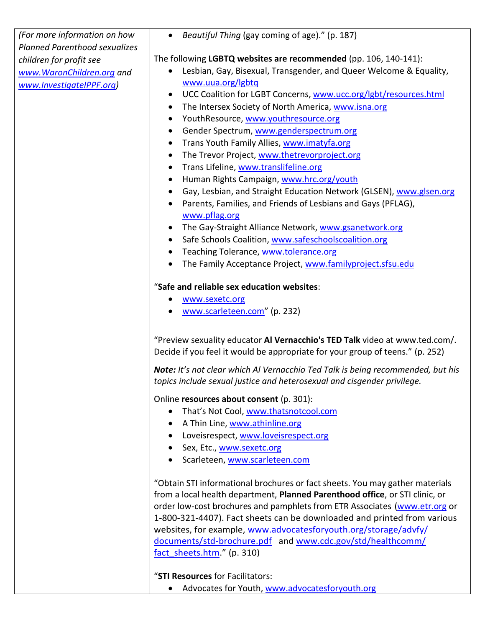*(For more information on how Planned Parenthood sexualizes children for profit see [www.WaronChildren.org](http://www.waronchildren.org/) and [www.InvestigateIPPF.org\)](http://www.investigateippf.org/)*

• *Beautiful Thing* (gay coming of age)." (p. 187)

### The following **LGBTQ websites are recommended** (pp. 106, 140-141):

- Lesbian, Gay, Bisexual, Transgender, and Queer Welcome & Equality, [www.uua.org/lgbtq](http://www.uua.org/lgbtq)
- UCC Coalition for LGBT Concerns, [www.ucc.org/lgbt/resources.html](http://www.ucc.org/lgbt/resources.html)
- The Intersex Society of North America, [www.isna.org](http://www.isna.org/)
- YouthResource, [www.youthresource.org](http://www.youthresource.org/)
- Gender Spectrum, [www.genderspectrum.org](http://www.genderspectrum.org/)
- Trans Youth Family Allies, [www.imatyfa.org](http://www.imatyfa.org/)
- The Trevor Project, [www.thetrevorproject.org](http://www.thetrevorproject.org/)
- Trans Lifeline, [www.translifeline.org](http://www.translifeline.org/)
- Human Rights Campaign, [www.hrc.org/youth](http://www.hrc.org/youth)
- Gay, Lesbian, and Straight Education Network (GLSEN), [www.glsen.org](http://www.glsen.org/)
- Parents, Families, and Friends of Lesbians and Gays (PFLAG), [www.pflag.org](http://www.pflag.org/)
- The Gay-Straight Alliance Network, [www.gsanetwork.org](http://www.gsanetwork.org/)
- Safe Schools Coalition, [www.safeschoolscoalition.org](http://www.safeschoolscoalition.org/)
- Teaching Tolerance[, www.tolerance.org](http://www.tolerance.org/)
- The Family Acceptance Project, [www.familyproject.sfsu.edu](http://www.familyproject.sfsu.edu/)

#### "**Safe and reliable sex education websites**:

- [www.sexetc.org](http://www.sexetc.org/)
- [www.scarleteen.com](http://www.scarleteen.com/)" (p. 232)

"Preview sexuality educator **Al Vernacchio's TED Talk** video a[t www.ted.com/.](http://www.ted.com/) Decide if you feel it would be appropriate for your group of teens." (p. 252)

*Note: It's not clear which Al Vernacchio Ted Talk is being recommended, but his topics include sexual justice and heterosexual and cisgender privilege.*

Online **resources about consent** (p. 301):

- That's Not Cool, [www.thatsnotcool.com](http://www.thatsnotcool.com/)
- A Thin Line, [www.athinline.org](http://www.athinline.org/)
- Loveisrespect[, www.loveisrespect.org](http://www.loveisrespect.org/)
- Sex, Etc., [www.sexetc.org](http://www.sexetc.org/)
- Scarleteen[, www.scarleteen.com](http://www.scarleteen.com/)

"Obtain STI informational brochures or fact sheets. You may gather materials from a local health department, **Planned Parenthood office**, or STI clinic, or order low-cost brochures and pamphlets from ETR Associates [\(www.etr.org](http://www.etr.org/) or 1-800-321-4407). Fact sheets can be downloaded and printed from various websites, for example, [www.advocatesforyouth.org/storage/advfy/](http://www.advocatesforyouth.org/storage/advfy/documents/std-brochure.pdf) [documents/std-brochure.pdf](http://www.advocatesforyouth.org/storage/advfy/documents/std-brochure.pdf) and [www.cdc.gov/std/healthcomm/](http://www.cdc.gov/std/healthcomm/fact_sheets.htm) fact sheets.htm." (p. 310)

"**STI Resources** for Facilitators:

• Advocates for Youth, [www.advocatesforyouth.org](http://www.advocatesforyouth.org/)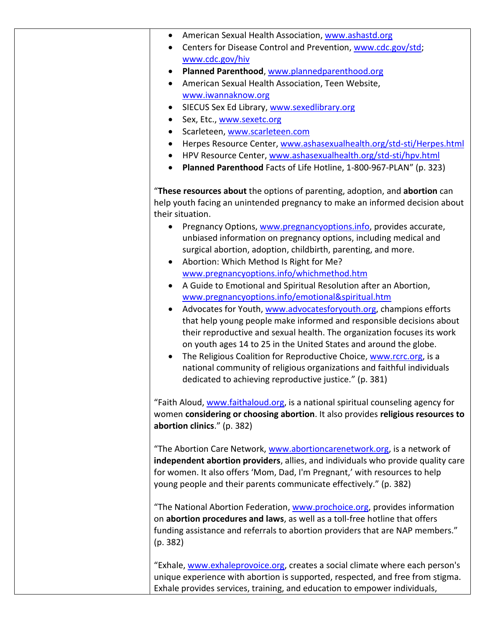| American Sexual Health Association, www.ashastd.org<br>٠                          |
|-----------------------------------------------------------------------------------|
| Centers for Disease Control and Prevention, www.cdc.gov/std;                      |
| www.cdc.gov/hiv                                                                   |
| Planned Parenthood, www.plannedparenthood.org                                     |
| American Sexual Health Association, Teen Website,                                 |
| www.iwannaknow.org                                                                |
| SIECUS Sex Ed Library, www.sexedlibrary.org                                       |
| Sex, Etc., www.sexetc.org<br>$\bullet$                                            |
| Scarleteen, www.scarleteen.com<br>$\bullet$                                       |
| Herpes Resource Center, www.ashasexualhealth.org/std-sti/Herpes.html<br>$\bullet$ |
| HPV Resource Center, www.ashasexualhealth.org/std-sti/hpv.html<br>$\bullet$       |
| Planned Parenthood Facts of Life Hotline, 1-800-967-PLAN" (p. 323)                |
| "These resources about the options of parenting, adoption, and abortion can       |
| help youth facing an unintended pregnancy to make an informed decision about      |
| their situation.                                                                  |
| Pregnancy Options, www.pregnancyoptions.info, provides accurate,                  |
| unbiased information on pregnancy options, including medical and                  |
| surgical abortion, adoption, childbirth, parenting, and more.                     |
| Abortion: Which Method Is Right for Me?<br>$\bullet$                              |
| www.pregnancyoptions.info/whichmethod.htm                                         |
| A Guide to Emotional and Spiritual Resolution after an Abortion,<br>$\bullet$     |
| www.pregnancyoptions.info/emotional&spiritual.htm                                 |
| Advocates for Youth, www.advocatesforyouth.org, champions efforts                 |
| that help young people make informed and responsible decisions about              |
| their reproductive and sexual health. The organization focuses its work           |
| on youth ages 14 to 25 in the United States and around the globe.                 |
| The Religious Coalition for Reproductive Choice, www.rcrc.org, is a<br>$\bullet$  |
| national community of religious organizations and faithful individuals            |
| dedicated to achieving reproductive justice." (p. 381)                            |
|                                                                                   |
| "Faith Aloud, www.faithaloud.org, is a national spiritual counseling agency for   |
| women considering or choosing abortion. It also provides religious resources to   |
| abortion clinics." (p. 382)                                                       |
| "The Abortion Care Network, www.abortioncarenetwork.org, is a network of          |
| independent abortion providers, allies, and individuals who provide quality care  |
| for women. It also offers 'Mom, Dad, I'm Pregnant,' with resources to help        |
| young people and their parents communicate effectively." (p. 382)                 |
|                                                                                   |
| "The National Abortion Federation, www.prochoice.org, provides information        |
| on abortion procedures and laws, as well as a toll-free hotline that offers       |
| funding assistance and referrals to abortion providers that are NAP members."     |
| (p. 382)                                                                          |
| "Exhale, www.exhaleprovoice.org, creates a social climate where each person's     |
| unique experience with abortion is supported, respected, and free from stigma.    |
| Exhale provides services, training, and education to empower individuals,         |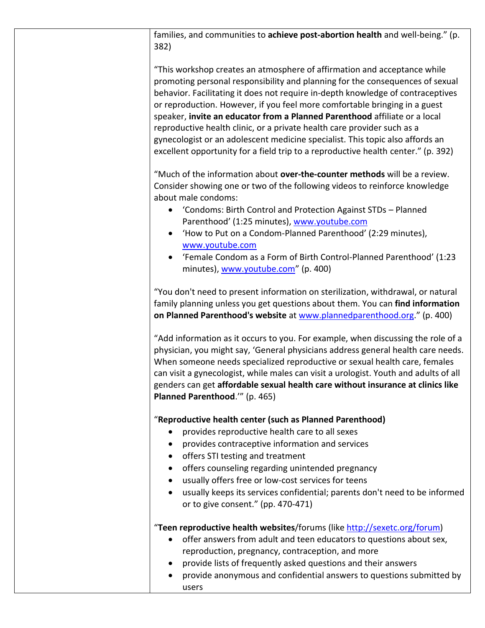| families, and communities to achieve post-abortion health and well-being." (p.<br>382)                                                                                                                                                                                                                                                                                                                                                                                                                                                                                                                                                                    |
|-----------------------------------------------------------------------------------------------------------------------------------------------------------------------------------------------------------------------------------------------------------------------------------------------------------------------------------------------------------------------------------------------------------------------------------------------------------------------------------------------------------------------------------------------------------------------------------------------------------------------------------------------------------|
| "This workshop creates an atmosphere of affirmation and acceptance while<br>promoting personal responsibility and planning for the consequences of sexual<br>behavior. Facilitating it does not require in-depth knowledge of contraceptives<br>or reproduction. However, if you feel more comfortable bringing in a guest<br>speaker, invite an educator from a Planned Parenthood affiliate or a local<br>reproductive health clinic, or a private health care provider such as a<br>gynecologist or an adolescent medicine specialist. This topic also affords an<br>excellent opportunity for a field trip to a reproductive health center." (p. 392) |
| "Much of the information about over-the-counter methods will be a review.<br>Consider showing one or two of the following videos to reinforce knowledge<br>about male condoms:<br>'Condoms: Birth Control and Protection Against STDs - Planned<br>Parenthood' (1:25 minutes), www.youtube.com<br>'How to Put on a Condom-Planned Parenthood' (2:29 minutes),<br>www.youtube.com<br>'Female Condom as a Form of Birth Control-Planned Parenthood' (1:23<br>minutes), www.youtube.com" (p. 400)                                                                                                                                                            |
| "You don't need to present information on sterilization, withdrawal, or natural<br>family planning unless you get questions about them. You can find information<br>on Planned Parenthood's website at www.plannedparenthood.org." (p. 400)                                                                                                                                                                                                                                                                                                                                                                                                               |
| "Add information as it occurs to you. For example, when discussing the role of a<br>physician, you might say, 'General physicians address general health care needs.<br>When someone needs specialized reproductive or sexual health care, females<br>can visit a gynecologist, while males can visit a urologist. Youth and adults of all<br>genders can get affordable sexual health care without insurance at clinics like<br>Planned Parenthood." (p. 465)                                                                                                                                                                                            |
| "Reproductive health center (such as Planned Parenthood)<br>provides reproductive health care to all sexes<br>provides contraceptive information and services<br>offers STI testing and treatment<br>offers counseling regarding unintended pregnancy<br>$\bullet$<br>usually offers free or low-cost services for teens<br>usually keeps its services confidential; parents don't need to be informed<br>or to give consent." (pp. 470-471)                                                                                                                                                                                                              |
| "Teen reproductive health websites/forums (like http://sexetc.org/forum)<br>offer answers from adult and teen educators to questions about sex,<br>$\bullet$<br>reproduction, pregnancy, contraception, and more<br>provide lists of frequently asked questions and their answers<br>provide anonymous and confidential answers to questions submitted by<br>users                                                                                                                                                                                                                                                                                        |